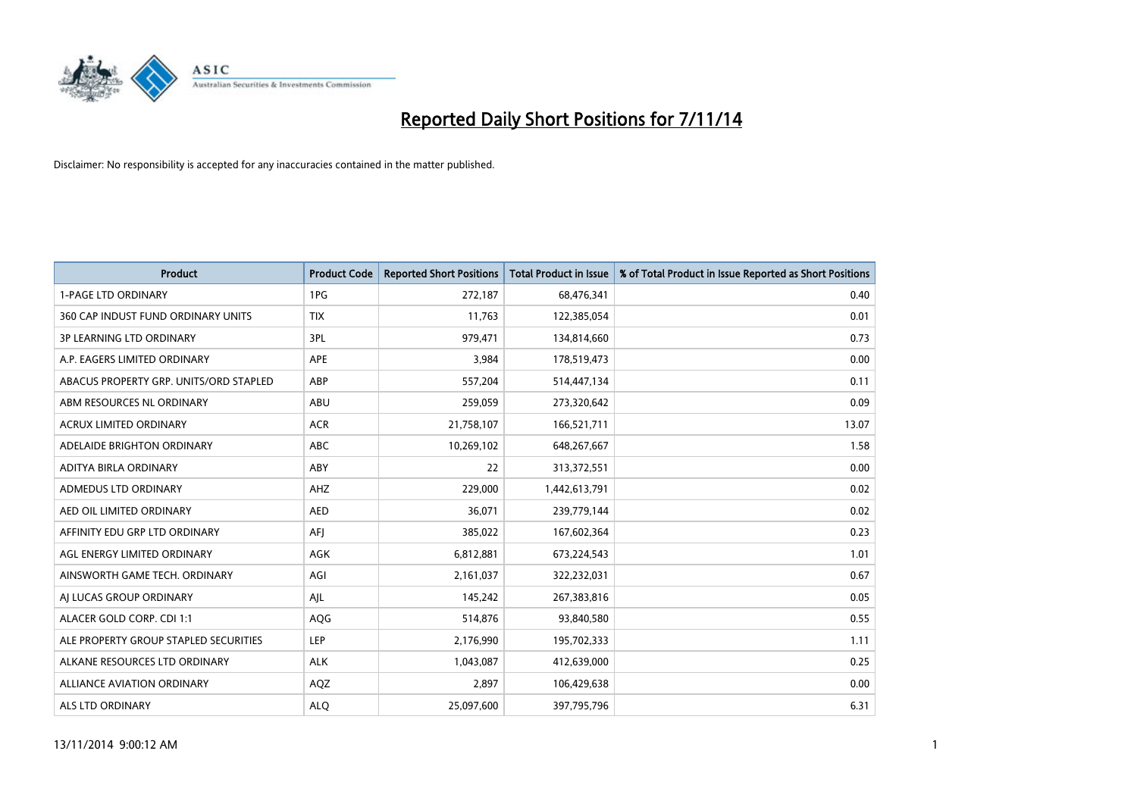

| <b>Product</b>                         | <b>Product Code</b> | <b>Reported Short Positions</b> | <b>Total Product in Issue</b> | % of Total Product in Issue Reported as Short Positions |
|----------------------------------------|---------------------|---------------------------------|-------------------------------|---------------------------------------------------------|
| <b>1-PAGE LTD ORDINARY</b>             | 1PG                 | 272,187                         | 68,476,341                    | 0.40                                                    |
| 360 CAP INDUST FUND ORDINARY UNITS     | <b>TIX</b>          | 11,763                          | 122,385,054                   | 0.01                                                    |
| 3P LEARNING LTD ORDINARY               | 3PL                 | 979,471                         | 134,814,660                   | 0.73                                                    |
| A.P. EAGERS LIMITED ORDINARY           | APE                 | 3,984                           | 178,519,473                   | 0.00                                                    |
| ABACUS PROPERTY GRP. UNITS/ORD STAPLED | ABP                 | 557,204                         | 514,447,134                   | 0.11                                                    |
| ABM RESOURCES NL ORDINARY              | ABU                 | 259,059                         | 273,320,642                   | 0.09                                                    |
| ACRUX LIMITED ORDINARY                 | <b>ACR</b>          | 21,758,107                      | 166,521,711                   | 13.07                                                   |
| ADELAIDE BRIGHTON ORDINARY             | ABC                 | 10,269,102                      | 648,267,667                   | 1.58                                                    |
| ADITYA BIRLA ORDINARY                  | ABY                 | 22                              | 313,372,551                   | 0.00                                                    |
| ADMEDUS LTD ORDINARY                   | AHZ                 | 229,000                         | 1,442,613,791                 | 0.02                                                    |
| AED OIL LIMITED ORDINARY               | <b>AED</b>          | 36,071                          | 239,779,144                   | 0.02                                                    |
| AFFINITY EDU GRP LTD ORDINARY          | AFJ                 | 385,022                         | 167,602,364                   | 0.23                                                    |
| AGL ENERGY LIMITED ORDINARY            | AGK                 | 6,812,881                       | 673,224,543                   | 1.01                                                    |
| AINSWORTH GAME TECH. ORDINARY          | AGI                 | 2,161,037                       | 322,232,031                   | 0.67                                                    |
| AJ LUCAS GROUP ORDINARY                | AJL                 | 145,242                         | 267,383,816                   | 0.05                                                    |
| ALACER GOLD CORP. CDI 1:1              | AQG                 | 514,876                         | 93,840,580                    | 0.55                                                    |
| ALE PROPERTY GROUP STAPLED SECURITIES  | LEP                 | 2,176,990                       | 195,702,333                   | 1.11                                                    |
| ALKANE RESOURCES LTD ORDINARY          | <b>ALK</b>          | 1,043,087                       | 412,639,000                   | 0.25                                                    |
| <b>ALLIANCE AVIATION ORDINARY</b>      | AQZ                 | 2,897                           | 106,429,638                   | 0.00                                                    |
| ALS LTD ORDINARY                       | <b>ALQ</b>          | 25,097,600                      | 397,795,796                   | 6.31                                                    |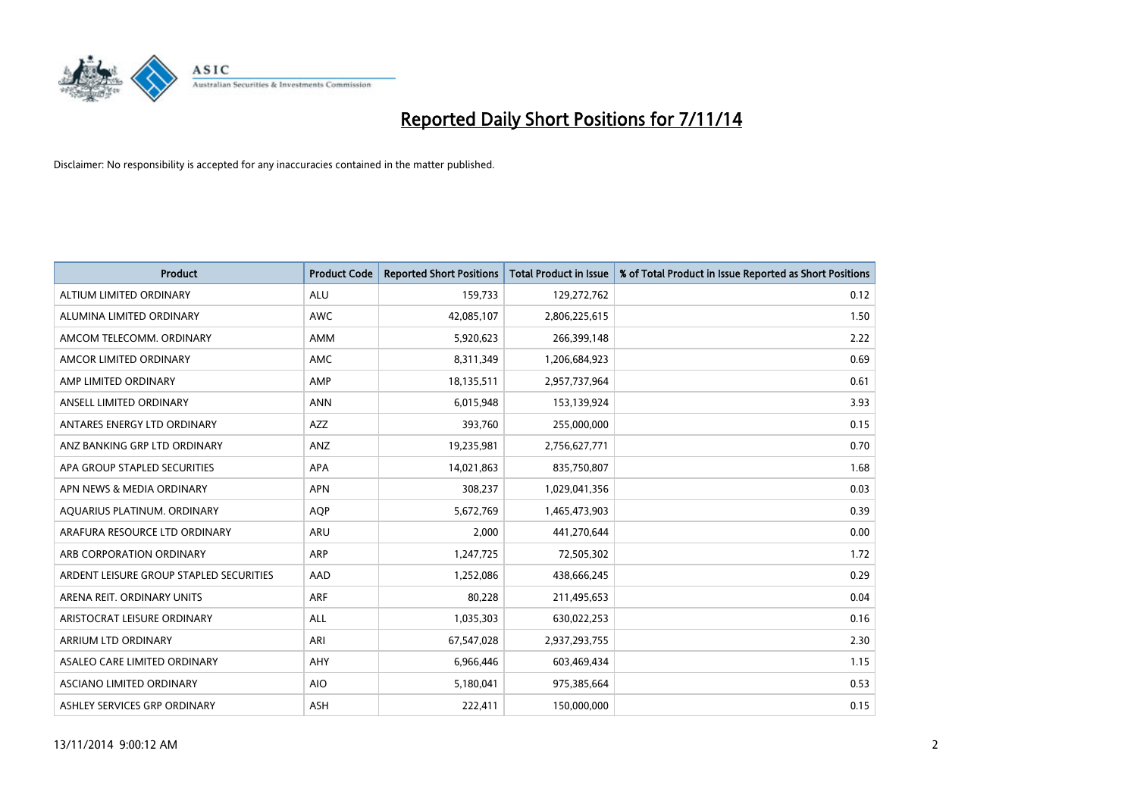

| <b>Product</b>                          | <b>Product Code</b> | <b>Reported Short Positions</b> | <b>Total Product in Issue</b> | % of Total Product in Issue Reported as Short Positions |
|-----------------------------------------|---------------------|---------------------------------|-------------------------------|---------------------------------------------------------|
| ALTIUM LIMITED ORDINARY                 | <b>ALU</b>          | 159,733                         | 129,272,762                   | 0.12                                                    |
| ALUMINA LIMITED ORDINARY                | <b>AWC</b>          | 42,085,107                      | 2,806,225,615                 | 1.50                                                    |
| AMCOM TELECOMM. ORDINARY                | AMM                 | 5,920,623                       | 266,399,148                   | 2.22                                                    |
| AMCOR LIMITED ORDINARY                  | AMC                 | 8,311,349                       | 1,206,684,923                 | 0.69                                                    |
| AMP LIMITED ORDINARY                    | AMP                 | 18,135,511                      | 2,957,737,964                 | 0.61                                                    |
| ANSELL LIMITED ORDINARY                 | <b>ANN</b>          | 6,015,948                       | 153,139,924                   | 3.93                                                    |
| ANTARES ENERGY LTD ORDINARY             | AZZ                 | 393,760                         | 255,000,000                   | 0.15                                                    |
| ANZ BANKING GRP LTD ORDINARY            | ANZ                 | 19,235,981                      | 2,756,627,771                 | 0.70                                                    |
| APA GROUP STAPLED SECURITIES            | <b>APA</b>          | 14,021,863                      | 835,750,807                   | 1.68                                                    |
| APN NEWS & MEDIA ORDINARY               | <b>APN</b>          | 308,237                         | 1,029,041,356                 | 0.03                                                    |
| AQUARIUS PLATINUM. ORDINARY             | AQP                 | 5,672,769                       | 1,465,473,903                 | 0.39                                                    |
| ARAFURA RESOURCE LTD ORDINARY           | ARU                 | 2,000                           | 441,270,644                   | 0.00                                                    |
| ARB CORPORATION ORDINARY                | <b>ARP</b>          | 1,247,725                       | 72,505,302                    | 1.72                                                    |
| ARDENT LEISURE GROUP STAPLED SECURITIES | AAD                 | 1,252,086                       | 438,666,245                   | 0.29                                                    |
| ARENA REIT. ORDINARY UNITS              | <b>ARF</b>          | 80,228                          | 211,495,653                   | 0.04                                                    |
| ARISTOCRAT LEISURE ORDINARY             | ALL                 | 1,035,303                       | 630,022,253                   | 0.16                                                    |
| ARRIUM LTD ORDINARY                     | ARI                 | 67,547,028                      | 2,937,293,755                 | 2.30                                                    |
| ASALEO CARE LIMITED ORDINARY            | AHY                 | 6,966,446                       | 603,469,434                   | 1.15                                                    |
| ASCIANO LIMITED ORDINARY                | <b>AIO</b>          | 5,180,041                       | 975,385,664                   | 0.53                                                    |
| ASHLEY SERVICES GRP ORDINARY            | <b>ASH</b>          | 222,411                         | 150,000,000                   | 0.15                                                    |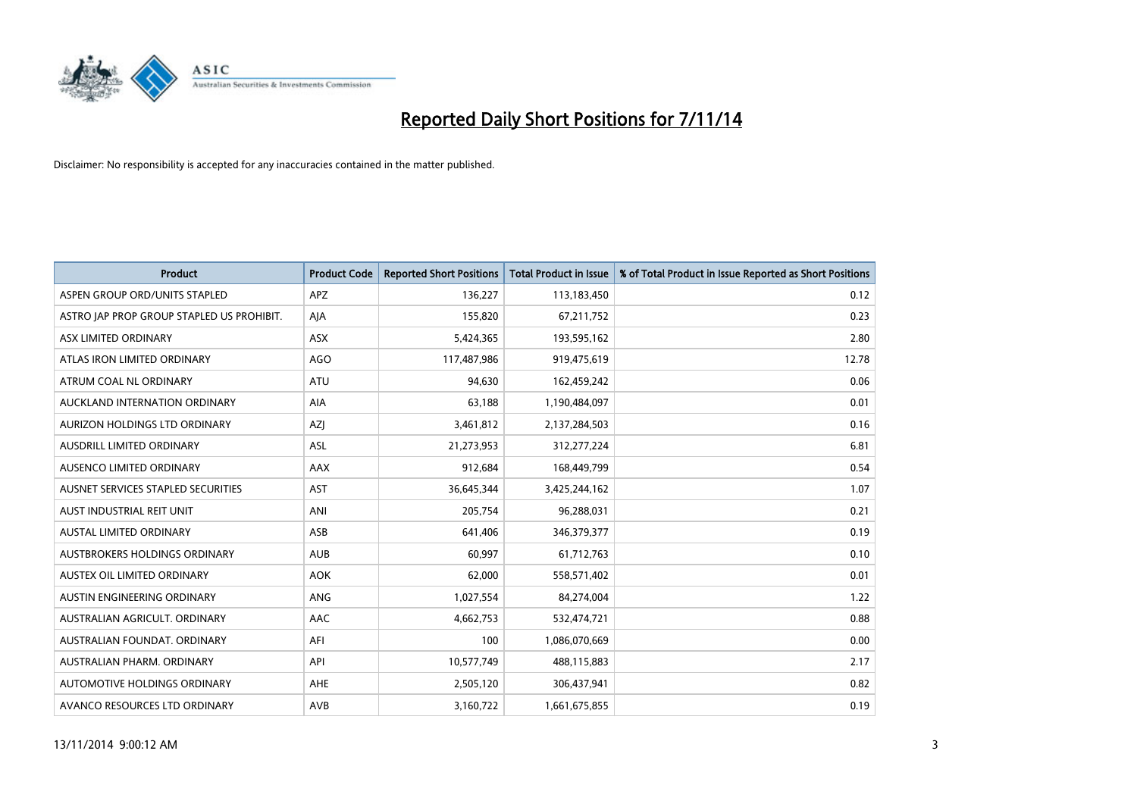

| <b>Product</b>                            | <b>Product Code</b> | <b>Reported Short Positions</b> | <b>Total Product in Issue</b> | % of Total Product in Issue Reported as Short Positions |
|-------------------------------------------|---------------------|---------------------------------|-------------------------------|---------------------------------------------------------|
| ASPEN GROUP ORD/UNITS STAPLED             | <b>APZ</b>          | 136,227                         | 113,183,450                   | 0.12                                                    |
| ASTRO JAP PROP GROUP STAPLED US PROHIBIT. | AJA                 | 155,820                         | 67,211,752                    | 0.23                                                    |
| ASX LIMITED ORDINARY                      | ASX                 | 5,424,365                       | 193,595,162                   | 2.80                                                    |
| ATLAS IRON LIMITED ORDINARY               | AGO                 | 117,487,986                     | 919,475,619                   | 12.78                                                   |
| ATRUM COAL NL ORDINARY                    | <b>ATU</b>          | 94,630                          | 162,459,242                   | 0.06                                                    |
| AUCKLAND INTERNATION ORDINARY             | <b>AIA</b>          | 63,188                          | 1,190,484,097                 | 0.01                                                    |
| AURIZON HOLDINGS LTD ORDINARY             | AZJ                 | 3,461,812                       | 2,137,284,503                 | 0.16                                                    |
| AUSDRILL LIMITED ORDINARY                 | ASL                 | 21,273,953                      | 312,277,224                   | 6.81                                                    |
| AUSENCO LIMITED ORDINARY                  | AAX                 | 912,684                         | 168,449,799                   | 0.54                                                    |
| AUSNET SERVICES STAPLED SECURITIES        | <b>AST</b>          | 36,645,344                      | 3,425,244,162                 | 1.07                                                    |
| AUST INDUSTRIAL REIT UNIT                 | ANI                 | 205,754                         | 96,288,031                    | 0.21                                                    |
| AUSTAL LIMITED ORDINARY                   | ASB                 | 641,406                         | 346,379,377                   | 0.19                                                    |
| AUSTBROKERS HOLDINGS ORDINARY             | <b>AUB</b>          | 60,997                          | 61,712,763                    | 0.10                                                    |
| AUSTEX OIL LIMITED ORDINARY               | <b>AOK</b>          | 62,000                          | 558,571,402                   | 0.01                                                    |
| AUSTIN ENGINEERING ORDINARY               | ANG                 | 1,027,554                       | 84,274,004                    | 1.22                                                    |
| AUSTRALIAN AGRICULT. ORDINARY             | AAC                 | 4,662,753                       | 532,474,721                   | 0.88                                                    |
| AUSTRALIAN FOUNDAT. ORDINARY              | AFI                 | 100                             | 1,086,070,669                 | 0.00                                                    |
| AUSTRALIAN PHARM, ORDINARY                | API                 | 10,577,749                      | 488,115,883                   | 2.17                                                    |
| AUTOMOTIVE HOLDINGS ORDINARY              | AHE                 | 2,505,120                       | 306,437,941                   | 0.82                                                    |
| AVANCO RESOURCES LTD ORDINARY             | AVB                 | 3,160,722                       | 1,661,675,855                 | 0.19                                                    |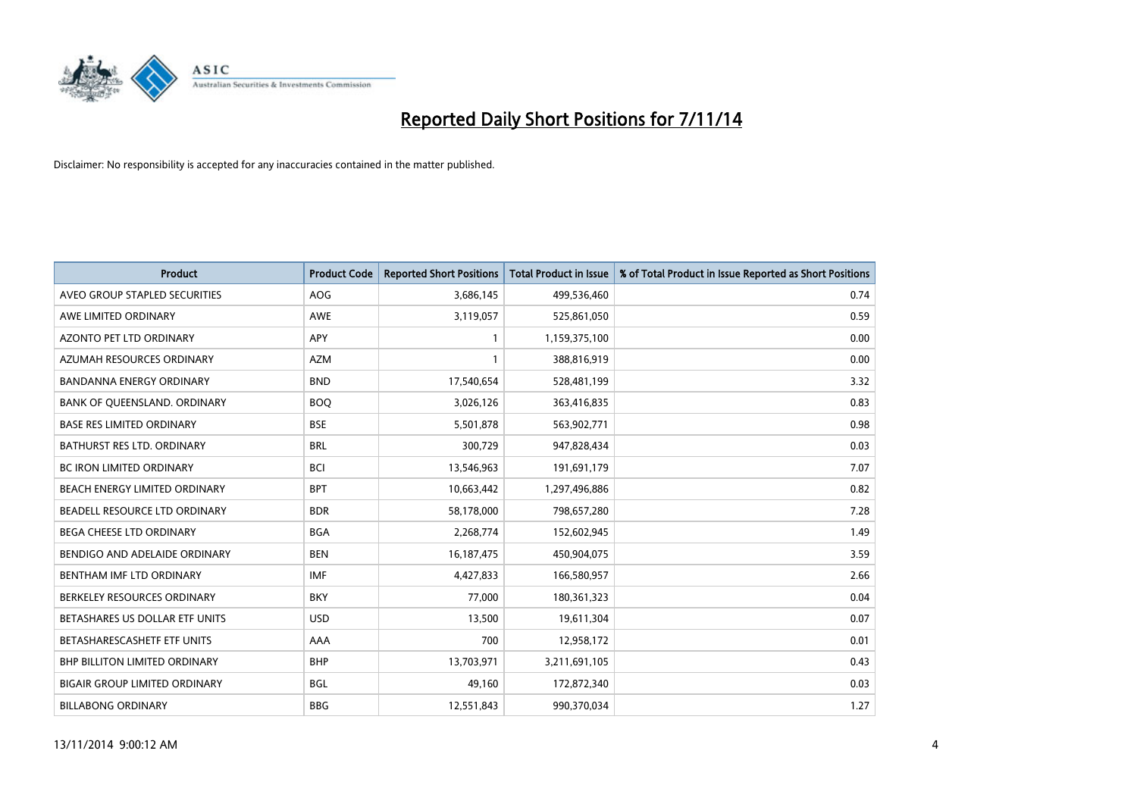

| <b>Product</b>                       | <b>Product Code</b> | <b>Reported Short Positions</b> | <b>Total Product in Issue</b> | % of Total Product in Issue Reported as Short Positions |
|--------------------------------------|---------------------|---------------------------------|-------------------------------|---------------------------------------------------------|
| AVEO GROUP STAPLED SECURITIES        | <b>AOG</b>          | 3,686,145                       | 499,536,460                   | 0.74                                                    |
| AWE LIMITED ORDINARY                 | AWE                 | 3,119,057                       | 525,861,050                   | 0.59                                                    |
| <b>AZONTO PET LTD ORDINARY</b>       | <b>APY</b>          | 1                               | 1,159,375,100                 | 0.00                                                    |
| AZUMAH RESOURCES ORDINARY            | <b>AZM</b>          | $\mathbf{1}$                    | 388,816,919                   | 0.00                                                    |
| <b>BANDANNA ENERGY ORDINARY</b>      | <b>BND</b>          | 17,540,654                      | 528,481,199                   | 3.32                                                    |
| BANK OF QUEENSLAND. ORDINARY         | <b>BOO</b>          | 3,026,126                       | 363,416,835                   | 0.83                                                    |
| <b>BASE RES LIMITED ORDINARY</b>     | <b>BSE</b>          | 5,501,878                       | 563,902,771                   | 0.98                                                    |
| <b>BATHURST RES LTD. ORDINARY</b>    | <b>BRL</b>          | 300,729                         | 947,828,434                   | 0.03                                                    |
| BC IRON LIMITED ORDINARY             | <b>BCI</b>          | 13,546,963                      | 191,691,179                   | 7.07                                                    |
| BEACH ENERGY LIMITED ORDINARY        | <b>BPT</b>          | 10,663,442                      | 1,297,496,886                 | 0.82                                                    |
| BEADELL RESOURCE LTD ORDINARY        | <b>BDR</b>          | 58,178,000                      | 798,657,280                   | 7.28                                                    |
| BEGA CHEESE LTD ORDINARY             | <b>BGA</b>          | 2,268,774                       | 152,602,945                   | 1.49                                                    |
| BENDIGO AND ADELAIDE ORDINARY        | <b>BEN</b>          | 16, 187, 475                    | 450,904,075                   | 3.59                                                    |
| BENTHAM IMF LTD ORDINARY             | <b>IMF</b>          | 4,427,833                       | 166,580,957                   | 2.66                                                    |
| BERKELEY RESOURCES ORDINARY          | <b>BKY</b>          | 77,000                          | 180,361,323                   | 0.04                                                    |
| BETASHARES US DOLLAR ETF UNITS       | <b>USD</b>          | 13,500                          | 19,611,304                    | 0.07                                                    |
| BETASHARESCASHETF ETF UNITS          | AAA                 | 700                             | 12,958,172                    | 0.01                                                    |
| <b>BHP BILLITON LIMITED ORDINARY</b> | <b>BHP</b>          | 13,703,971                      | 3,211,691,105                 | 0.43                                                    |
| <b>BIGAIR GROUP LIMITED ORDINARY</b> | <b>BGL</b>          | 49.160                          | 172,872,340                   | 0.03                                                    |
| <b>BILLABONG ORDINARY</b>            | <b>BBG</b>          | 12,551,843                      | 990,370,034                   | 1.27                                                    |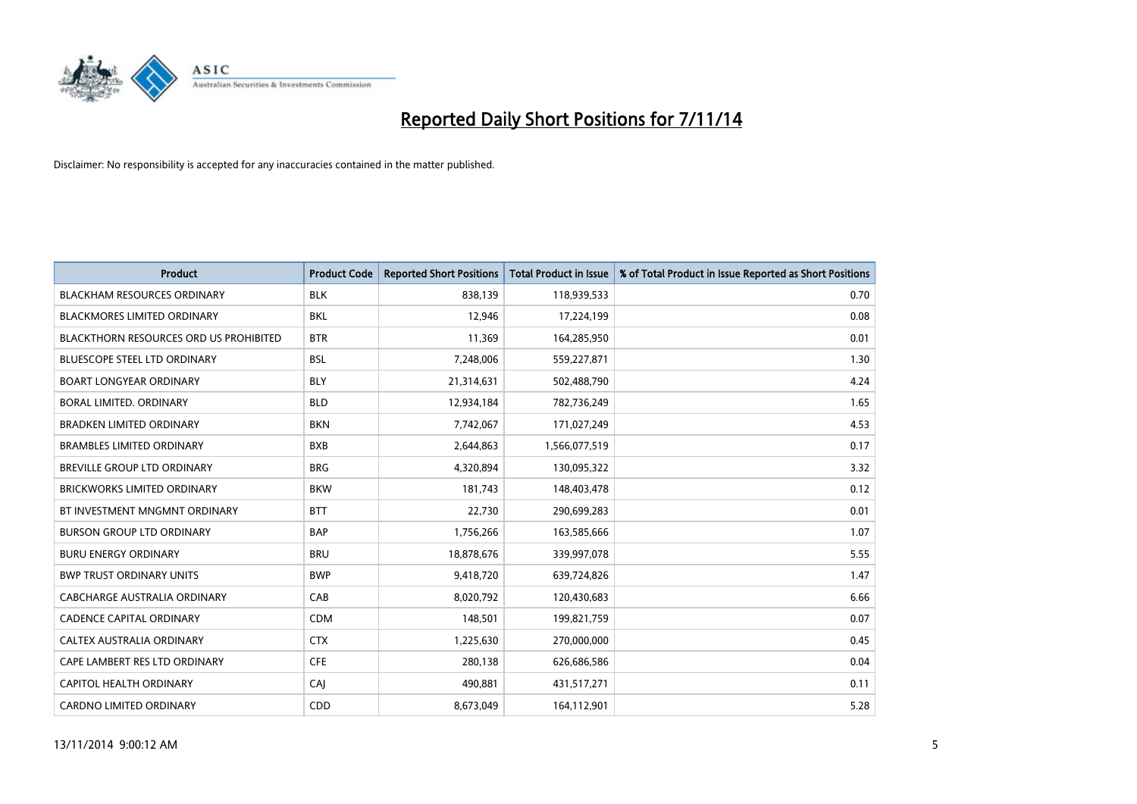

| <b>Product</b>                                | <b>Product Code</b> | <b>Reported Short Positions</b> | <b>Total Product in Issue</b> | % of Total Product in Issue Reported as Short Positions |
|-----------------------------------------------|---------------------|---------------------------------|-------------------------------|---------------------------------------------------------|
| <b>BLACKHAM RESOURCES ORDINARY</b>            | <b>BLK</b>          | 838,139                         | 118,939,533                   | 0.70                                                    |
| <b>BLACKMORES LIMITED ORDINARY</b>            | <b>BKL</b>          | 12,946                          | 17,224,199                    | 0.08                                                    |
| <b>BLACKTHORN RESOURCES ORD US PROHIBITED</b> | <b>BTR</b>          | 11,369                          | 164,285,950                   | 0.01                                                    |
| BLUESCOPE STEEL LTD ORDINARY                  | <b>BSL</b>          | 7,248,006                       | 559,227,871                   | 1.30                                                    |
| <b>BOART LONGYEAR ORDINARY</b>                | <b>BLY</b>          | 21,314,631                      | 502,488,790                   | 4.24                                                    |
| <b>BORAL LIMITED, ORDINARY</b>                | <b>BLD</b>          | 12,934,184                      | 782,736,249                   | 1.65                                                    |
| <b>BRADKEN LIMITED ORDINARY</b>               | <b>BKN</b>          | 7,742,067                       | 171,027,249                   | 4.53                                                    |
| <b>BRAMBLES LIMITED ORDINARY</b>              | <b>BXB</b>          | 2,644,863                       | 1,566,077,519                 | 0.17                                                    |
| <b>BREVILLE GROUP LTD ORDINARY</b>            | <b>BRG</b>          | 4,320,894                       | 130,095,322                   | 3.32                                                    |
| BRICKWORKS LIMITED ORDINARY                   | <b>BKW</b>          | 181,743                         | 148,403,478                   | 0.12                                                    |
| BT INVESTMENT MNGMNT ORDINARY                 | <b>BTT</b>          | 22,730                          | 290,699,283                   | 0.01                                                    |
| <b>BURSON GROUP LTD ORDINARY</b>              | <b>BAP</b>          | 1,756,266                       | 163,585,666                   | 1.07                                                    |
| <b>BURU ENERGY ORDINARY</b>                   | <b>BRU</b>          | 18,878,676                      | 339,997,078                   | 5.55                                                    |
| <b>BWP TRUST ORDINARY UNITS</b>               | <b>BWP</b>          | 9,418,720                       | 639,724,826                   | 1.47                                                    |
| <b>CABCHARGE AUSTRALIA ORDINARY</b>           | CAB                 | 8,020,792                       | 120,430,683                   | 6.66                                                    |
| <b>CADENCE CAPITAL ORDINARY</b>               | <b>CDM</b>          | 148,501                         | 199,821,759                   | 0.07                                                    |
| CALTEX AUSTRALIA ORDINARY                     | <b>CTX</b>          | 1,225,630                       | 270,000,000                   | 0.45                                                    |
| CAPE LAMBERT RES LTD ORDINARY                 | <b>CFE</b>          | 280,138                         | 626,686,586                   | 0.04                                                    |
| <b>CAPITOL HEALTH ORDINARY</b>                | CAI                 | 490,881                         | 431,517,271                   | 0.11                                                    |
| <b>CARDNO LIMITED ORDINARY</b>                | CDD                 | 8,673,049                       | 164,112,901                   | 5.28                                                    |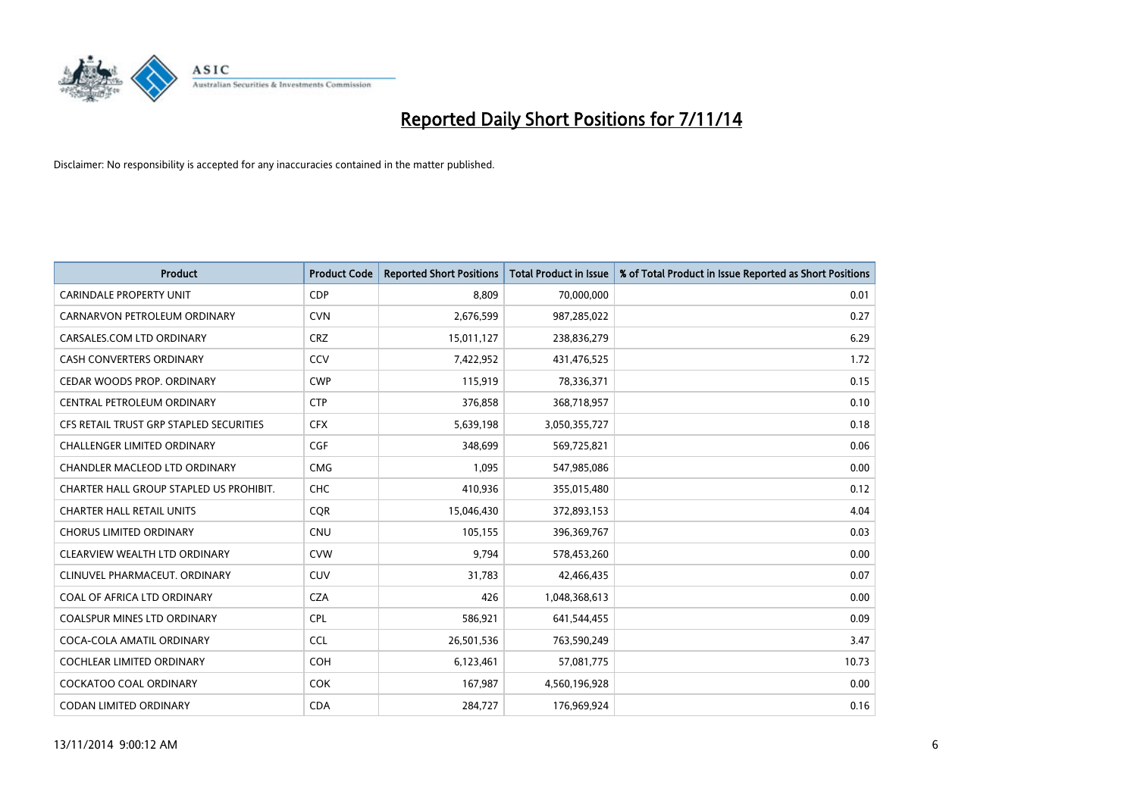

| <b>Product</b>                          | <b>Product Code</b> | <b>Reported Short Positions</b> | <b>Total Product in Issue</b> | % of Total Product in Issue Reported as Short Positions |
|-----------------------------------------|---------------------|---------------------------------|-------------------------------|---------------------------------------------------------|
| <b>CARINDALE PROPERTY UNIT</b>          | <b>CDP</b>          | 8.809                           | 70,000,000                    | 0.01                                                    |
| CARNARVON PETROLEUM ORDINARY            | <b>CVN</b>          | 2,676,599                       | 987,285,022                   | 0.27                                                    |
| CARSALES.COM LTD ORDINARY               | <b>CRZ</b>          | 15,011,127                      | 238,836,279                   | 6.29                                                    |
| CASH CONVERTERS ORDINARY                | CCV                 | 7,422,952                       | 431,476,525                   | 1.72                                                    |
| CEDAR WOODS PROP. ORDINARY              | <b>CWP</b>          | 115,919                         | 78,336,371                    | 0.15                                                    |
| CENTRAL PETROLEUM ORDINARY              | <b>CTP</b>          | 376,858                         | 368,718,957                   | 0.10                                                    |
| CFS RETAIL TRUST GRP STAPLED SECURITIES | <b>CFX</b>          | 5,639,198                       | 3,050,355,727                 | 0.18                                                    |
| <b>CHALLENGER LIMITED ORDINARY</b>      | <b>CGF</b>          | 348,699                         | 569,725,821                   | 0.06                                                    |
| CHANDLER MACLEOD LTD ORDINARY           | <b>CMG</b>          | 1,095                           | 547,985,086                   | 0.00                                                    |
| CHARTER HALL GROUP STAPLED US PROHIBIT. | <b>CHC</b>          | 410,936                         | 355,015,480                   | 0.12                                                    |
| <b>CHARTER HALL RETAIL UNITS</b>        | <b>CQR</b>          | 15,046,430                      | 372,893,153                   | 4.04                                                    |
| <b>CHORUS LIMITED ORDINARY</b>          | <b>CNU</b>          | 105,155                         | 396,369,767                   | 0.03                                                    |
| CLEARVIEW WEALTH LTD ORDINARY           | <b>CVW</b>          | 9,794                           | 578,453,260                   | 0.00                                                    |
| CLINUVEL PHARMACEUT. ORDINARY           | <b>CUV</b>          | 31,783                          | 42,466,435                    | 0.07                                                    |
| COAL OF AFRICA LTD ORDINARY             | <b>CZA</b>          | 426                             | 1,048,368,613                 | 0.00                                                    |
| COALSPUR MINES LTD ORDINARY             | <b>CPL</b>          | 586,921                         | 641,544,455                   | 0.09                                                    |
| COCA-COLA AMATIL ORDINARY               | <b>CCL</b>          | 26,501,536                      | 763,590,249                   | 3.47                                                    |
| COCHLEAR LIMITED ORDINARY               | <b>COH</b>          | 6,123,461                       | 57,081,775                    | 10.73                                                   |
| <b>COCKATOO COAL ORDINARY</b>           | <b>COK</b>          | 167,987                         | 4,560,196,928                 | 0.00                                                    |
| CODAN LIMITED ORDINARY                  | <b>CDA</b>          | 284,727                         | 176,969,924                   | 0.16                                                    |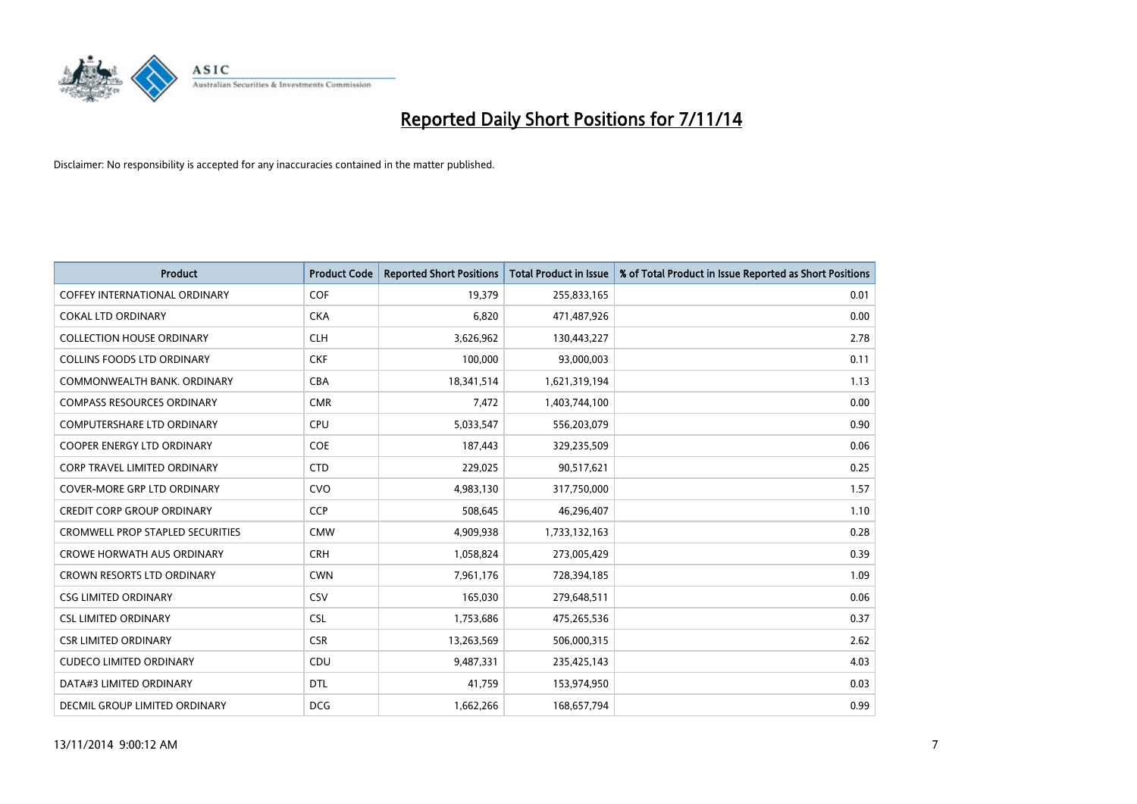

| <b>Product</b>                          | <b>Product Code</b> | <b>Reported Short Positions</b> | <b>Total Product in Issue</b> | % of Total Product in Issue Reported as Short Positions |
|-----------------------------------------|---------------------|---------------------------------|-------------------------------|---------------------------------------------------------|
| <b>COFFEY INTERNATIONAL ORDINARY</b>    | <b>COF</b>          | 19,379                          | 255,833,165                   | 0.01                                                    |
| <b>COKAL LTD ORDINARY</b>               | <b>CKA</b>          | 6,820                           | 471,487,926                   | 0.00                                                    |
| <b>COLLECTION HOUSE ORDINARY</b>        | <b>CLH</b>          | 3,626,962                       | 130,443,227                   | 2.78                                                    |
| <b>COLLINS FOODS LTD ORDINARY</b>       | <b>CKF</b>          | 100,000                         | 93,000,003                    | 0.11                                                    |
| COMMONWEALTH BANK, ORDINARY             | <b>CBA</b>          | 18,341,514                      | 1,621,319,194                 | 1.13                                                    |
| <b>COMPASS RESOURCES ORDINARY</b>       | <b>CMR</b>          | 7,472                           | 1,403,744,100                 | 0.00                                                    |
| <b>COMPUTERSHARE LTD ORDINARY</b>       | <b>CPU</b>          | 5,033,547                       | 556,203,079                   | 0.90                                                    |
| <b>COOPER ENERGY LTD ORDINARY</b>       | <b>COE</b>          | 187,443                         | 329,235,509                   | 0.06                                                    |
| CORP TRAVEL LIMITED ORDINARY            | <b>CTD</b>          | 229,025                         | 90,517,621                    | 0.25                                                    |
| <b>COVER-MORE GRP LTD ORDINARY</b>      | <b>CVO</b>          | 4,983,130                       | 317,750,000                   | 1.57                                                    |
| <b>CREDIT CORP GROUP ORDINARY</b>       | <b>CCP</b>          | 508,645                         | 46,296,407                    | 1.10                                                    |
| <b>CROMWELL PROP STAPLED SECURITIES</b> | <b>CMW</b>          | 4,909,938                       | 1,733,132,163                 | 0.28                                                    |
| <b>CROWE HORWATH AUS ORDINARY</b>       | <b>CRH</b>          | 1,058,824                       | 273,005,429                   | 0.39                                                    |
| <b>CROWN RESORTS LTD ORDINARY</b>       | <b>CWN</b>          | 7,961,176                       | 728,394,185                   | 1.09                                                    |
| <b>CSG LIMITED ORDINARY</b>             | CSV                 | 165,030                         | 279,648,511                   | 0.06                                                    |
| <b>CSL LIMITED ORDINARY</b>             | <b>CSL</b>          | 1,753,686                       | 475,265,536                   | 0.37                                                    |
| <b>CSR LIMITED ORDINARY</b>             | <b>CSR</b>          | 13,263,569                      | 506,000,315                   | 2.62                                                    |
| <b>CUDECO LIMITED ORDINARY</b>          | <b>CDU</b>          | 9,487,331                       | 235,425,143                   | 4.03                                                    |
| DATA#3 LIMITED ORDINARY                 | <b>DTL</b>          | 41,759                          | 153,974,950                   | 0.03                                                    |
| DECMIL GROUP LIMITED ORDINARY           | <b>DCG</b>          | 1,662,266                       | 168,657,794                   | 0.99                                                    |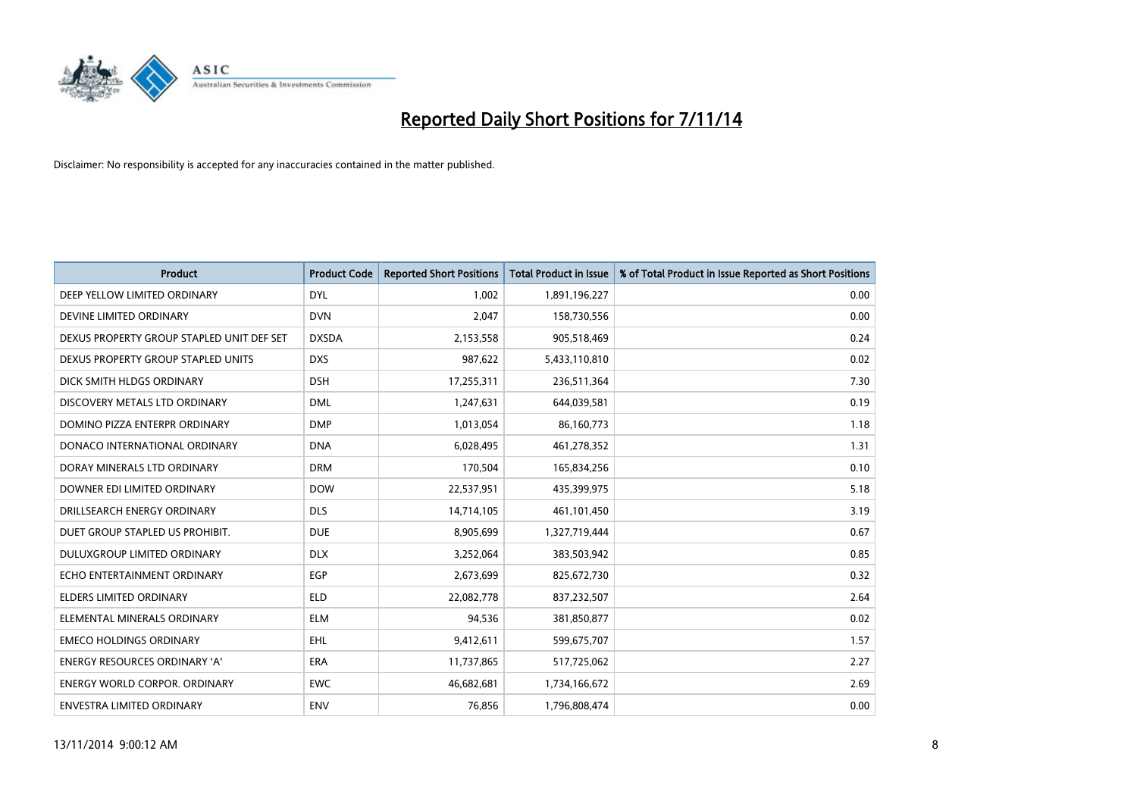

| <b>Product</b>                            | <b>Product Code</b> | <b>Reported Short Positions</b> | <b>Total Product in Issue</b> | % of Total Product in Issue Reported as Short Positions |
|-------------------------------------------|---------------------|---------------------------------|-------------------------------|---------------------------------------------------------|
| DEEP YELLOW LIMITED ORDINARY              | <b>DYL</b>          | 1,002                           | 1,891,196,227                 | 0.00                                                    |
| DEVINE LIMITED ORDINARY                   | <b>DVN</b>          | 2,047                           | 158,730,556                   | 0.00                                                    |
| DEXUS PROPERTY GROUP STAPLED UNIT DEF SET | <b>DXSDA</b>        | 2,153,558                       | 905,518,469                   | 0.24                                                    |
| DEXUS PROPERTY GROUP STAPLED UNITS        | <b>DXS</b>          | 987,622                         | 5,433,110,810                 | 0.02                                                    |
| DICK SMITH HLDGS ORDINARY                 | <b>DSH</b>          | 17,255,311                      | 236,511,364                   | 7.30                                                    |
| DISCOVERY METALS LTD ORDINARY             | <b>DML</b>          | 1,247,631                       | 644,039,581                   | 0.19                                                    |
| DOMINO PIZZA ENTERPR ORDINARY             | <b>DMP</b>          | 1,013,054                       | 86,160,773                    | 1.18                                                    |
| DONACO INTERNATIONAL ORDINARY             | <b>DNA</b>          | 6,028,495                       | 461,278,352                   | 1.31                                                    |
| DORAY MINERALS LTD ORDINARY               | <b>DRM</b>          | 170,504                         | 165,834,256                   | 0.10                                                    |
| DOWNER EDI LIMITED ORDINARY               | <b>DOW</b>          | 22,537,951                      | 435,399,975                   | 5.18                                                    |
| DRILLSEARCH ENERGY ORDINARY               | <b>DLS</b>          | 14,714,105                      | 461,101,450                   | 3.19                                                    |
| DUET GROUP STAPLED US PROHIBIT.           | <b>DUE</b>          | 8,905,699                       | 1,327,719,444                 | 0.67                                                    |
| DULUXGROUP LIMITED ORDINARY               | <b>DLX</b>          | 3,252,064                       | 383,503,942                   | 0.85                                                    |
| ECHO ENTERTAINMENT ORDINARY               | <b>EGP</b>          | 2,673,699                       | 825,672,730                   | 0.32                                                    |
| <b>ELDERS LIMITED ORDINARY</b>            | <b>ELD</b>          | 22,082,778                      | 837,232,507                   | 2.64                                                    |
| ELEMENTAL MINERALS ORDINARY               | <b>ELM</b>          | 94,536                          | 381,850,877                   | 0.02                                                    |
| <b>EMECO HOLDINGS ORDINARY</b>            | <b>EHL</b>          | 9,412,611                       | 599,675,707                   | 1.57                                                    |
| ENERGY RESOURCES ORDINARY 'A'             | <b>ERA</b>          | 11,737,865                      | 517,725,062                   | 2.27                                                    |
| <b>ENERGY WORLD CORPOR, ORDINARY</b>      | <b>EWC</b>          | 46,682,681                      | 1,734,166,672                 | 2.69                                                    |
| ENVESTRA LIMITED ORDINARY                 | ENV                 | 76,856                          | 1,796,808,474                 | 0.00                                                    |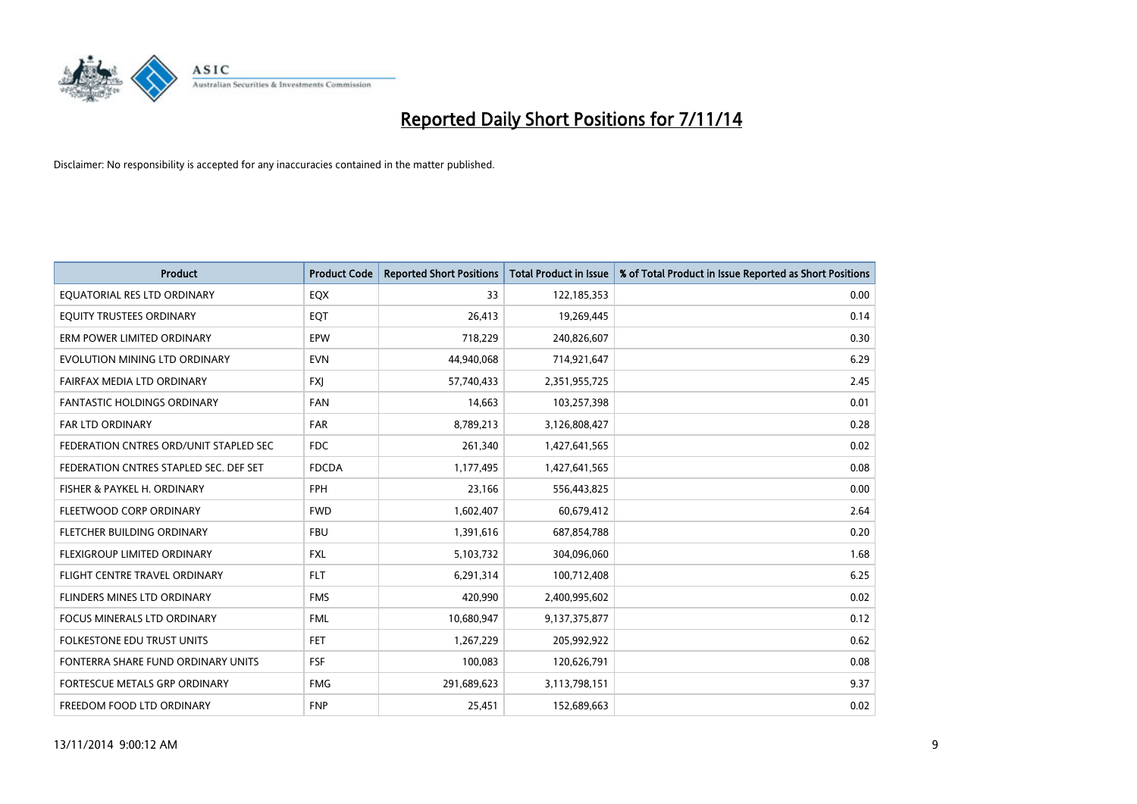

| <b>Product</b>                         | <b>Product Code</b> | <b>Reported Short Positions</b> | <b>Total Product in Issue</b> | % of Total Product in Issue Reported as Short Positions |
|----------------------------------------|---------------------|---------------------------------|-------------------------------|---------------------------------------------------------|
| EQUATORIAL RES LTD ORDINARY            | EQX                 | 33                              | 122,185,353                   | 0.00                                                    |
| EQUITY TRUSTEES ORDINARY               | EQT                 | 26,413                          | 19,269,445                    | 0.14                                                    |
| ERM POWER LIMITED ORDINARY             | <b>EPW</b>          | 718,229                         | 240,826,607                   | 0.30                                                    |
| EVOLUTION MINING LTD ORDINARY          | <b>EVN</b>          | 44,940,068                      | 714,921,647                   | 6.29                                                    |
| FAIRFAX MEDIA LTD ORDINARY             | <b>FXI</b>          | 57,740,433                      | 2,351,955,725                 | 2.45                                                    |
| <b>FANTASTIC HOLDINGS ORDINARY</b>     | <b>FAN</b>          | 14,663                          | 103,257,398                   | 0.01                                                    |
| <b>FAR LTD ORDINARY</b>                | <b>FAR</b>          | 8,789,213                       | 3,126,808,427                 | 0.28                                                    |
| FEDERATION CNTRES ORD/UNIT STAPLED SEC | <b>FDC</b>          | 261,340                         | 1,427,641,565                 | 0.02                                                    |
| FEDERATION CNTRES STAPLED SEC. DEF SET | <b>FDCDA</b>        | 1,177,495                       | 1,427,641,565                 | 0.08                                                    |
| FISHER & PAYKEL H. ORDINARY            | <b>FPH</b>          | 23,166                          | 556,443,825                   | 0.00                                                    |
| FLEETWOOD CORP ORDINARY                | <b>FWD</b>          | 1,602,407                       | 60,679,412                    | 2.64                                                    |
| FLETCHER BUILDING ORDINARY             | <b>FBU</b>          | 1,391,616                       | 687,854,788                   | 0.20                                                    |
| FLEXIGROUP LIMITED ORDINARY            | FXL                 | 5,103,732                       | 304,096,060                   | 1.68                                                    |
| FLIGHT CENTRE TRAVEL ORDINARY          | <b>FLT</b>          | 6,291,314                       | 100,712,408                   | 6.25                                                    |
| FLINDERS MINES LTD ORDINARY            | <b>FMS</b>          | 420,990                         | 2,400,995,602                 | 0.02                                                    |
| <b>FOCUS MINERALS LTD ORDINARY</b>     | <b>FML</b>          | 10,680,947                      | 9,137,375,877                 | 0.12                                                    |
| <b>FOLKESTONE EDU TRUST UNITS</b>      | <b>FET</b>          | 1,267,229                       | 205,992,922                   | 0.62                                                    |
| FONTERRA SHARE FUND ORDINARY UNITS     | <b>FSF</b>          | 100,083                         | 120,626,791                   | 0.08                                                    |
| FORTESCUE METALS GRP ORDINARY          | <b>FMG</b>          | 291,689,623                     | 3,113,798,151                 | 9.37                                                    |
| FREEDOM FOOD LTD ORDINARY              | <b>FNP</b>          | 25,451                          | 152,689,663                   | 0.02                                                    |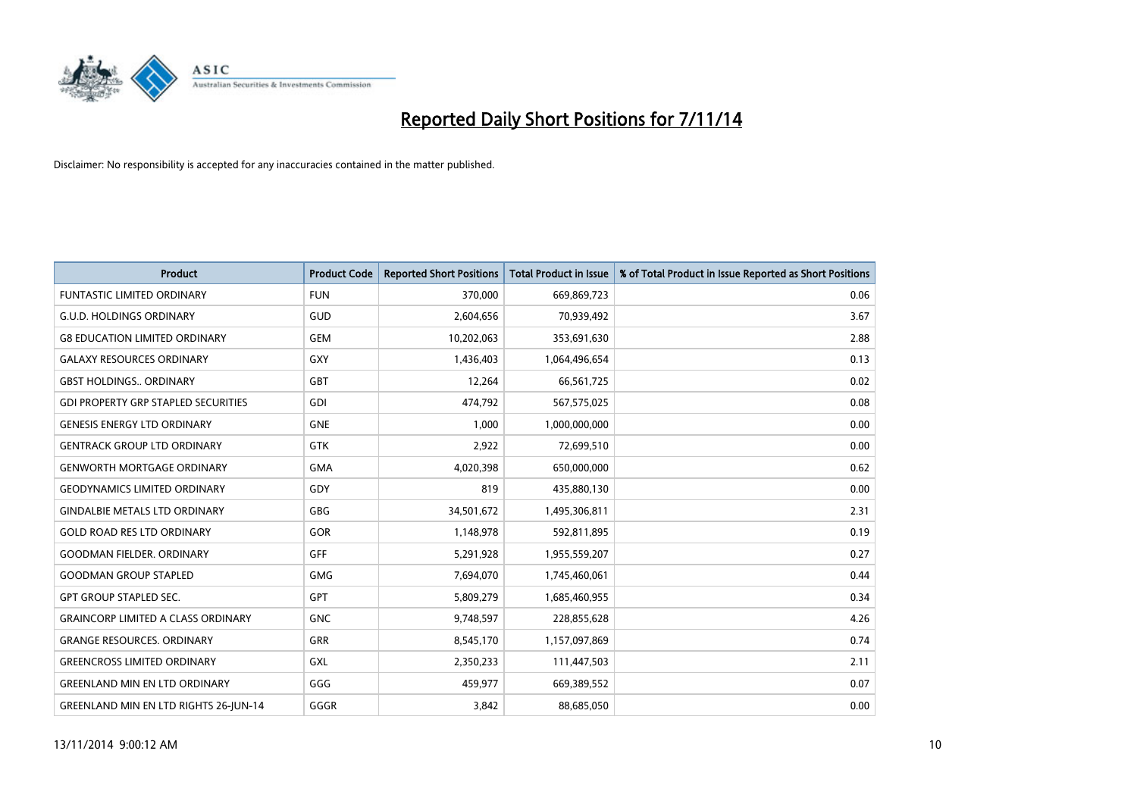

| <b>Product</b>                               | <b>Product Code</b> | <b>Reported Short Positions</b> | <b>Total Product in Issue</b> | % of Total Product in Issue Reported as Short Positions |
|----------------------------------------------|---------------------|---------------------------------|-------------------------------|---------------------------------------------------------|
| <b>FUNTASTIC LIMITED ORDINARY</b>            | <b>FUN</b>          | 370,000                         | 669,869,723                   | 0.06                                                    |
| <b>G.U.D. HOLDINGS ORDINARY</b>              | <b>GUD</b>          | 2,604,656                       | 70,939,492                    | 3.67                                                    |
| <b>G8 EDUCATION LIMITED ORDINARY</b>         | <b>GEM</b>          | 10,202,063                      | 353,691,630                   | 2.88                                                    |
| <b>GALAXY RESOURCES ORDINARY</b>             | <b>GXY</b>          | 1,436,403                       | 1,064,496,654                 | 0.13                                                    |
| <b>GBST HOLDINGS., ORDINARY</b>              | GBT                 | 12,264                          | 66,561,725                    | 0.02                                                    |
| <b>GDI PROPERTY GRP STAPLED SECURITIES</b>   | GDI                 | 474,792                         | 567,575,025                   | 0.08                                                    |
| <b>GENESIS ENERGY LTD ORDINARY</b>           | <b>GNE</b>          | 1,000                           | 1,000,000,000                 | 0.00                                                    |
| <b>GENTRACK GROUP LTD ORDINARY</b>           | <b>GTK</b>          | 2,922                           | 72,699,510                    | 0.00                                                    |
| <b>GENWORTH MORTGAGE ORDINARY</b>            | <b>GMA</b>          | 4,020,398                       | 650,000,000                   | 0.62                                                    |
| <b>GEODYNAMICS LIMITED ORDINARY</b>          | GDY                 | 819                             | 435,880,130                   | 0.00                                                    |
| <b>GINDALBIE METALS LTD ORDINARY</b>         | GBG                 | 34,501,672                      | 1,495,306,811                 | 2.31                                                    |
| <b>GOLD ROAD RES LTD ORDINARY</b>            | GOR                 | 1,148,978                       | 592,811,895                   | 0.19                                                    |
| <b>GOODMAN FIELDER, ORDINARY</b>             | <b>GFF</b>          | 5,291,928                       | 1,955,559,207                 | 0.27                                                    |
| <b>GOODMAN GROUP STAPLED</b>                 | <b>GMG</b>          | 7,694,070                       | 1,745,460,061                 | 0.44                                                    |
| <b>GPT GROUP STAPLED SEC.</b>                | GPT                 | 5,809,279                       | 1,685,460,955                 | 0.34                                                    |
| <b>GRAINCORP LIMITED A CLASS ORDINARY</b>    | <b>GNC</b>          | 9,748,597                       | 228,855,628                   | 4.26                                                    |
| <b>GRANGE RESOURCES. ORDINARY</b>            | GRR                 | 8,545,170                       | 1,157,097,869                 | 0.74                                                    |
| <b>GREENCROSS LIMITED ORDINARY</b>           | <b>GXL</b>          | 2,350,233                       | 111,447,503                   | 2.11                                                    |
| <b>GREENLAND MIN EN LTD ORDINARY</b>         | GGG                 | 459,977                         | 669,389,552                   | 0.07                                                    |
| <b>GREENLAND MIN EN LTD RIGHTS 26-JUN-14</b> | GGGR                | 3,842                           | 88,685,050                    | 0.00                                                    |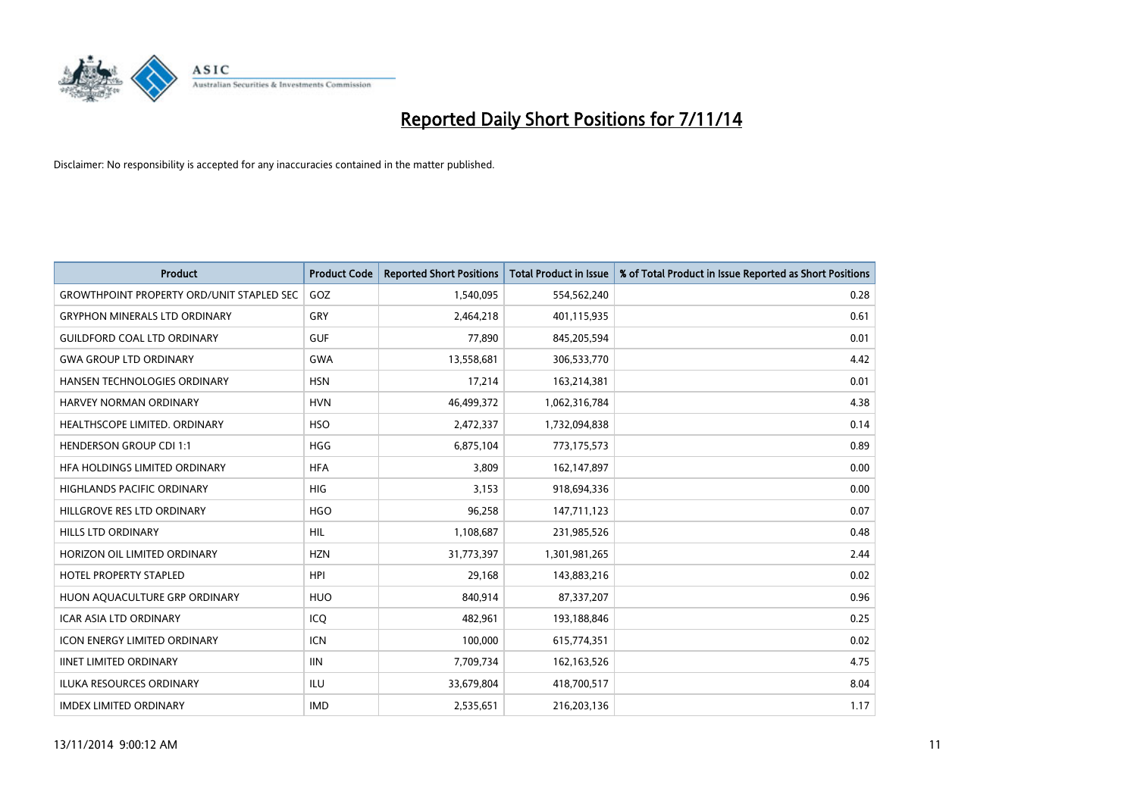

| <b>Product</b>                                   | <b>Product Code</b> | <b>Reported Short Positions</b> | <b>Total Product in Issue</b> | % of Total Product in Issue Reported as Short Positions |
|--------------------------------------------------|---------------------|---------------------------------|-------------------------------|---------------------------------------------------------|
| <b>GROWTHPOINT PROPERTY ORD/UNIT STAPLED SEC</b> | GOZ                 | 1,540,095                       | 554,562,240                   | 0.28                                                    |
| <b>GRYPHON MINERALS LTD ORDINARY</b>             | <b>GRY</b>          | 2,464,218                       | 401,115,935                   | 0.61                                                    |
| <b>GUILDFORD COAL LTD ORDINARY</b>               | <b>GUF</b>          | 77,890                          | 845,205,594                   | 0.01                                                    |
| <b>GWA GROUP LTD ORDINARY</b>                    | <b>GWA</b>          | 13,558,681                      | 306,533,770                   | 4.42                                                    |
| HANSEN TECHNOLOGIES ORDINARY                     | <b>HSN</b>          | 17,214                          | 163,214,381                   | 0.01                                                    |
| <b>HARVEY NORMAN ORDINARY</b>                    | <b>HVN</b>          | 46,499,372                      | 1,062,316,784                 | 4.38                                                    |
| <b>HEALTHSCOPE LIMITED, ORDINARY</b>             | <b>HSO</b>          | 2,472,337                       | 1,732,094,838                 | 0.14                                                    |
| <b>HENDERSON GROUP CDI 1:1</b>                   | <b>HGG</b>          | 6,875,104                       | 773,175,573                   | 0.89                                                    |
| HFA HOLDINGS LIMITED ORDINARY                    | <b>HFA</b>          | 3,809                           | 162,147,897                   | 0.00                                                    |
| <b>HIGHLANDS PACIFIC ORDINARY</b>                | <b>HIG</b>          | 3,153                           | 918,694,336                   | 0.00                                                    |
| HILLGROVE RES LTD ORDINARY                       | <b>HGO</b>          | 96,258                          | 147,711,123                   | 0.07                                                    |
| <b>HILLS LTD ORDINARY</b>                        | HIL                 | 1,108,687                       | 231,985,526                   | 0.48                                                    |
| HORIZON OIL LIMITED ORDINARY                     | <b>HZN</b>          | 31,773,397                      | 1,301,981,265                 | 2.44                                                    |
| <b>HOTEL PROPERTY STAPLED</b>                    | <b>HPI</b>          | 29,168                          | 143,883,216                   | 0.02                                                    |
| HUON AQUACULTURE GRP ORDINARY                    | <b>HUO</b>          | 840,914                         | 87,337,207                    | 0.96                                                    |
| <b>ICAR ASIA LTD ORDINARY</b>                    | ICO                 | 482,961                         | 193,188,846                   | 0.25                                                    |
| ICON ENERGY LIMITED ORDINARY                     | <b>ICN</b>          | 100,000                         | 615,774,351                   | 0.02                                                    |
| <b>IINET LIMITED ORDINARY</b>                    | <b>IIN</b>          | 7,709,734                       | 162,163,526                   | 4.75                                                    |
| <b>ILUKA RESOURCES ORDINARY</b>                  | ILU                 | 33,679,804                      | 418,700,517                   | 8.04                                                    |
| <b>IMDEX LIMITED ORDINARY</b>                    | <b>IMD</b>          | 2,535,651                       | 216,203,136                   | 1.17                                                    |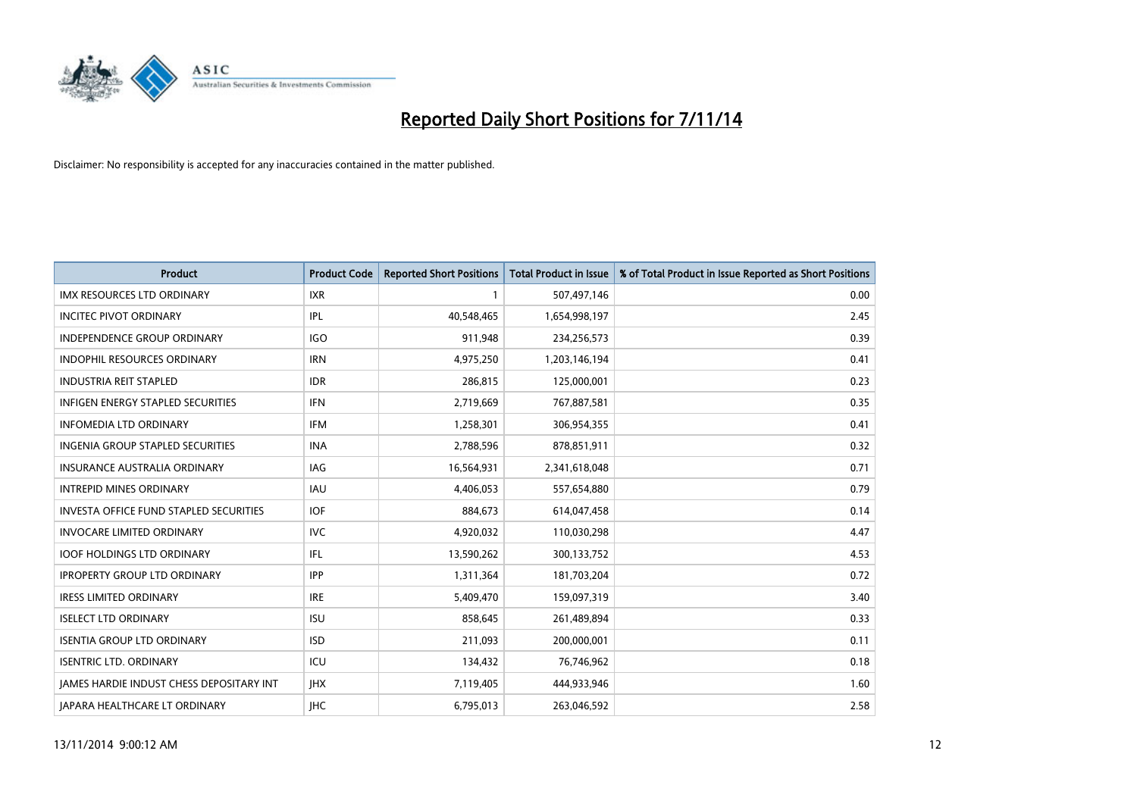

| <b>Product</b>                                | <b>Product Code</b> | <b>Reported Short Positions</b> | <b>Total Product in Issue</b> | % of Total Product in Issue Reported as Short Positions |
|-----------------------------------------------|---------------------|---------------------------------|-------------------------------|---------------------------------------------------------|
| <b>IMX RESOURCES LTD ORDINARY</b>             | <b>IXR</b>          |                                 | 507,497,146                   | 0.00                                                    |
| <b>INCITEC PIVOT ORDINARY</b>                 | IPL                 | 40,548,465                      | 1,654,998,197                 | 2.45                                                    |
| <b>INDEPENDENCE GROUP ORDINARY</b>            | <b>IGO</b>          | 911,948                         | 234,256,573                   | 0.39                                                    |
| INDOPHIL RESOURCES ORDINARY                   | <b>IRN</b>          | 4,975,250                       | 1,203,146,194                 | 0.41                                                    |
| <b>INDUSTRIA REIT STAPLED</b>                 | <b>IDR</b>          | 286,815                         | 125,000,001                   | 0.23                                                    |
| <b>INFIGEN ENERGY STAPLED SECURITIES</b>      | <b>IFN</b>          | 2,719,669                       | 767,887,581                   | 0.35                                                    |
| <b>INFOMEDIA LTD ORDINARY</b>                 | <b>IFM</b>          | 1,258,301                       | 306,954,355                   | 0.41                                                    |
| INGENIA GROUP STAPLED SECURITIES              | <b>INA</b>          | 2,788,596                       | 878,851,911                   | 0.32                                                    |
| <b>INSURANCE AUSTRALIA ORDINARY</b>           | IAG                 | 16,564,931                      | 2,341,618,048                 | 0.71                                                    |
| <b>INTREPID MINES ORDINARY</b>                | <b>IAU</b>          | 4,406,053                       | 557,654,880                   | 0.79                                                    |
| <b>INVESTA OFFICE FUND STAPLED SECURITIES</b> | <b>IOF</b>          | 884,673                         | 614,047,458                   | 0.14                                                    |
| <b>INVOCARE LIMITED ORDINARY</b>              | <b>IVC</b>          | 4,920,032                       | 110,030,298                   | 4.47                                                    |
| <b>IOOF HOLDINGS LTD ORDINARY</b>             | IFL.                | 13,590,262                      | 300,133,752                   | 4.53                                                    |
| <b>IPROPERTY GROUP LTD ORDINARY</b>           | <b>IPP</b>          | 1,311,364                       | 181,703,204                   | 0.72                                                    |
| <b>IRESS LIMITED ORDINARY</b>                 | <b>IRE</b>          | 5,409,470                       | 159,097,319                   | 3.40                                                    |
| <b>ISELECT LTD ORDINARY</b>                   | <b>ISU</b>          | 858,645                         | 261,489,894                   | 0.33                                                    |
| <b>ISENTIA GROUP LTD ORDINARY</b>             | <b>ISD</b>          | 211,093                         | 200,000,001                   | 0.11                                                    |
| <b>ISENTRIC LTD. ORDINARY</b>                 | ICU                 | 134,432                         | 76,746,962                    | 0.18                                                    |
| JAMES HARDIE INDUST CHESS DEPOSITARY INT      | <b>IHX</b>          | 7,119,405                       | 444,933,946                   | 1.60                                                    |
| JAPARA HEALTHCARE LT ORDINARY                 | <b>IHC</b>          | 6,795,013                       | 263,046,592                   | 2.58                                                    |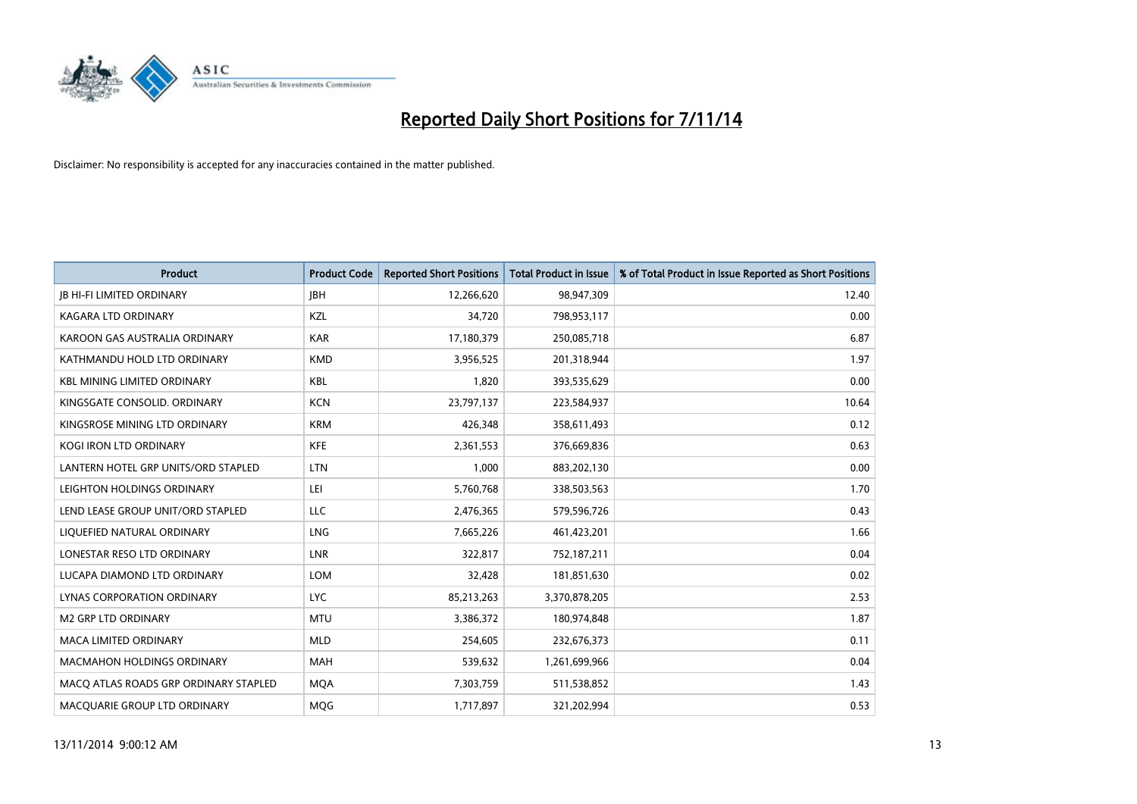

| <b>Product</b>                        | <b>Product Code</b> | <b>Reported Short Positions</b> | <b>Total Product in Issue</b> | % of Total Product in Issue Reported as Short Positions |
|---------------------------------------|---------------------|---------------------------------|-------------------------------|---------------------------------------------------------|
| <b>JB HI-FI LIMITED ORDINARY</b>      | <b>IBH</b>          | 12,266,620                      | 98,947,309                    | 12.40                                                   |
| KAGARA LTD ORDINARY                   | KZL                 | 34,720                          | 798,953,117                   | 0.00                                                    |
| KAROON GAS AUSTRALIA ORDINARY         | <b>KAR</b>          | 17,180,379                      | 250,085,718                   | 6.87                                                    |
| KATHMANDU HOLD LTD ORDINARY           | <b>KMD</b>          | 3,956,525                       | 201,318,944                   | 1.97                                                    |
| <b>KBL MINING LIMITED ORDINARY</b>    | <b>KBL</b>          | 1,820                           | 393,535,629                   | 0.00                                                    |
| KINGSGATE CONSOLID. ORDINARY          | <b>KCN</b>          | 23,797,137                      | 223,584,937                   | 10.64                                                   |
| KINGSROSE MINING LTD ORDINARY         | <b>KRM</b>          | 426,348                         | 358,611,493                   | 0.12                                                    |
| KOGI IRON LTD ORDINARY                | <b>KFE</b>          | 2,361,553                       | 376,669,836                   | 0.63                                                    |
| LANTERN HOTEL GRP UNITS/ORD STAPLED   | <b>LTN</b>          | 1.000                           | 883,202,130                   | 0.00                                                    |
| LEIGHTON HOLDINGS ORDINARY            | LEI                 | 5,760,768                       | 338,503,563                   | 1.70                                                    |
| LEND LEASE GROUP UNIT/ORD STAPLED     | LLC                 | 2,476,365                       | 579,596,726                   | 0.43                                                    |
| LIQUEFIED NATURAL ORDINARY            | LNG                 | 7,665,226                       | 461,423,201                   | 1.66                                                    |
| LONESTAR RESO LTD ORDINARY            | <b>LNR</b>          | 322,817                         | 752,187,211                   | 0.04                                                    |
| LUCAPA DIAMOND LTD ORDINARY           | LOM                 | 32,428                          | 181,851,630                   | 0.02                                                    |
| LYNAS CORPORATION ORDINARY            | <b>LYC</b>          | 85,213,263                      | 3,370,878,205                 | 2.53                                                    |
| M2 GRP LTD ORDINARY                   | <b>MTU</b>          | 3,386,372                       | 180,974,848                   | 1.87                                                    |
| MACA LIMITED ORDINARY                 | <b>MLD</b>          | 254,605                         | 232,676,373                   | 0.11                                                    |
| MACMAHON HOLDINGS ORDINARY            | <b>MAH</b>          | 539,632                         | 1,261,699,966                 | 0.04                                                    |
| MACO ATLAS ROADS GRP ORDINARY STAPLED | <b>MOA</b>          | 7,303,759                       | 511,538,852                   | 1.43                                                    |
| MACQUARIE GROUP LTD ORDINARY          | <b>MOG</b>          | 1,717,897                       | 321,202,994                   | 0.53                                                    |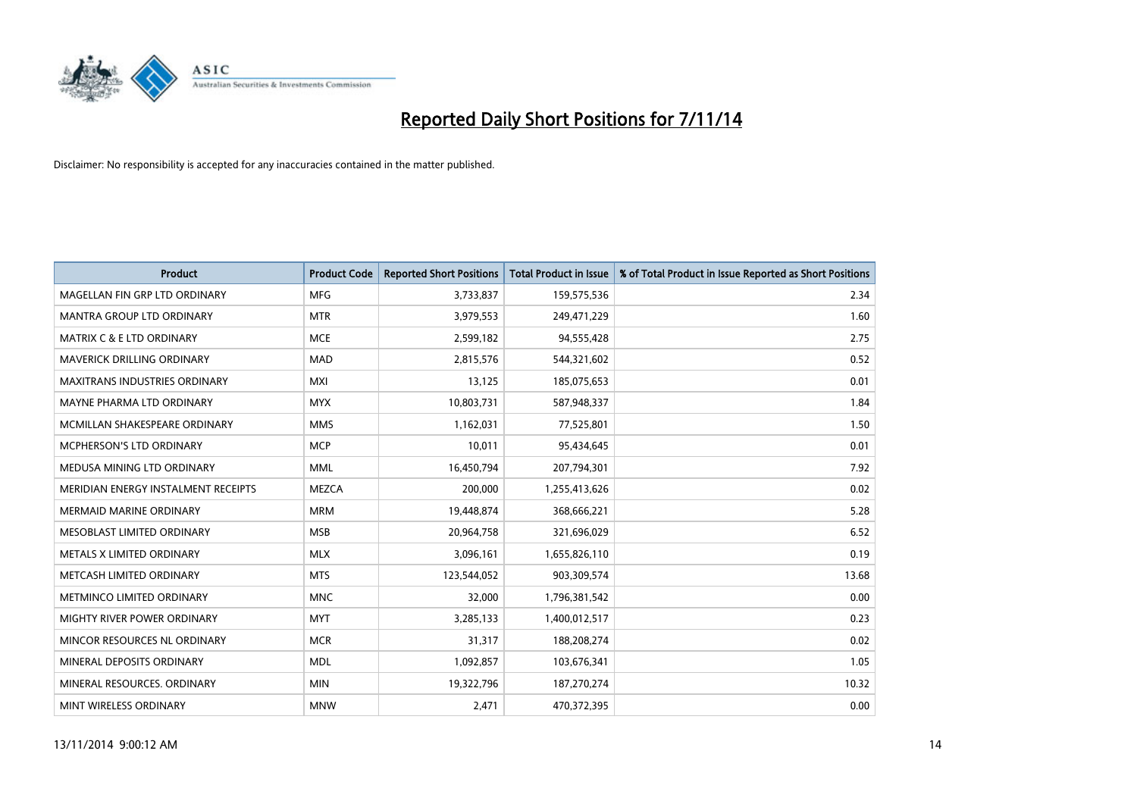

| <b>Product</b>                       | <b>Product Code</b> | <b>Reported Short Positions</b> | <b>Total Product in Issue</b> | % of Total Product in Issue Reported as Short Positions |
|--------------------------------------|---------------------|---------------------------------|-------------------------------|---------------------------------------------------------|
| MAGELLAN FIN GRP LTD ORDINARY        | <b>MFG</b>          | 3,733,837                       | 159,575,536                   | 2.34                                                    |
| MANTRA GROUP LTD ORDINARY            | <b>MTR</b>          | 3,979,553                       | 249,471,229                   | 1.60                                                    |
| <b>MATRIX C &amp; E LTD ORDINARY</b> | <b>MCE</b>          | 2,599,182                       | 94,555,428                    | 2.75                                                    |
| <b>MAVERICK DRILLING ORDINARY</b>    | <b>MAD</b>          | 2,815,576                       | 544,321,602                   | 0.52                                                    |
| <b>MAXITRANS INDUSTRIES ORDINARY</b> | <b>MXI</b>          | 13,125                          | 185,075,653                   | 0.01                                                    |
| MAYNE PHARMA LTD ORDINARY            | <b>MYX</b>          | 10,803,731                      | 587,948,337                   | 1.84                                                    |
| MCMILLAN SHAKESPEARE ORDINARY        | <b>MMS</b>          | 1,162,031                       | 77,525,801                    | 1.50                                                    |
| MCPHERSON'S LTD ORDINARY             | <b>MCP</b>          | 10,011                          | 95,434,645                    | 0.01                                                    |
| MEDUSA MINING LTD ORDINARY           | <b>MML</b>          | 16,450,794                      | 207,794,301                   | 7.92                                                    |
| MERIDIAN ENERGY INSTALMENT RECEIPTS  | <b>MEZCA</b>        | 200,000                         | 1,255,413,626                 | 0.02                                                    |
| <b>MERMAID MARINE ORDINARY</b>       | <b>MRM</b>          | 19,448,874                      | 368,666,221                   | 5.28                                                    |
| MESOBLAST LIMITED ORDINARY           | <b>MSB</b>          | 20,964,758                      | 321,696,029                   | 6.52                                                    |
| METALS X LIMITED ORDINARY            | <b>MLX</b>          | 3,096,161                       | 1,655,826,110                 | 0.19                                                    |
| METCASH LIMITED ORDINARY             | <b>MTS</b>          | 123,544,052                     | 903,309,574                   | 13.68                                                   |
| METMINCO LIMITED ORDINARY            | <b>MNC</b>          | 32,000                          | 1,796,381,542                 | 0.00                                                    |
| MIGHTY RIVER POWER ORDINARY          | <b>MYT</b>          | 3,285,133                       | 1,400,012,517                 | 0.23                                                    |
| MINCOR RESOURCES NL ORDINARY         | <b>MCR</b>          | 31,317                          | 188,208,274                   | 0.02                                                    |
| MINERAL DEPOSITS ORDINARY            | <b>MDL</b>          | 1,092,857                       | 103,676,341                   | 1.05                                                    |
| MINERAL RESOURCES, ORDINARY          | <b>MIN</b>          | 19,322,796                      | 187,270,274                   | 10.32                                                   |
| MINT WIRELESS ORDINARY               | <b>MNW</b>          | 2,471                           | 470,372,395                   | 0.00                                                    |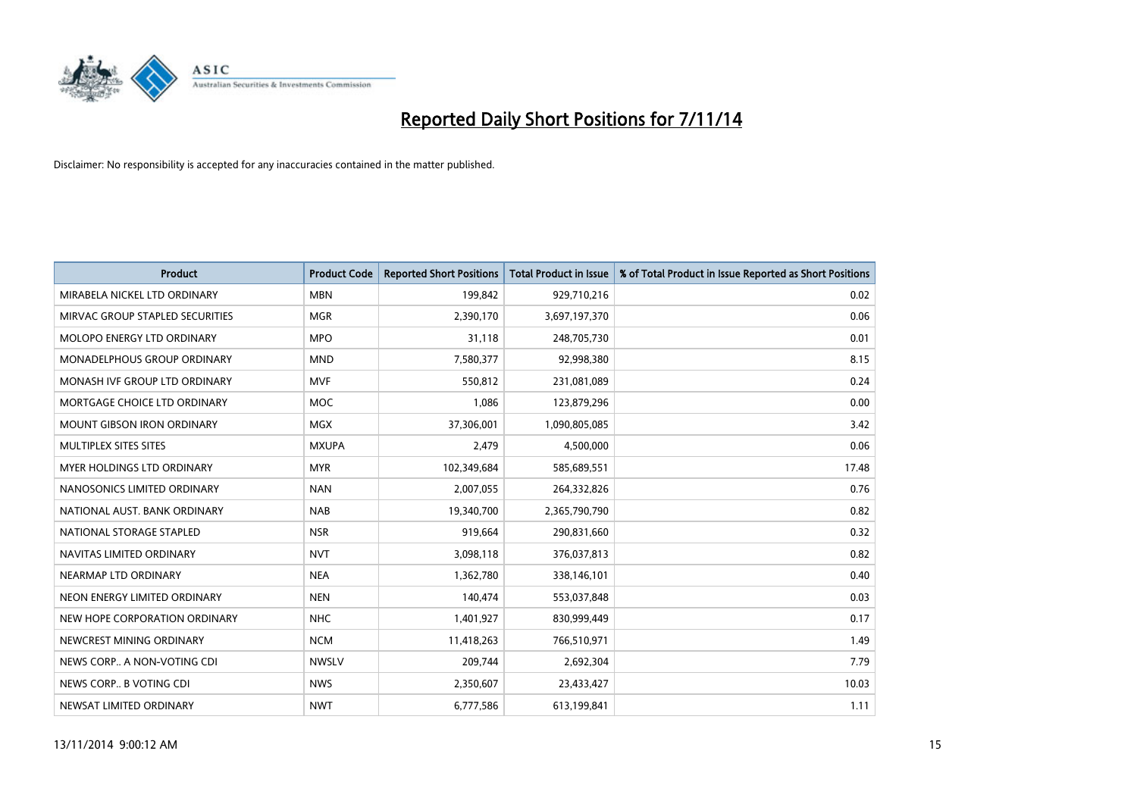

| <b>Product</b>                     | <b>Product Code</b> | <b>Reported Short Positions</b> | <b>Total Product in Issue</b> | % of Total Product in Issue Reported as Short Positions |
|------------------------------------|---------------------|---------------------------------|-------------------------------|---------------------------------------------------------|
| MIRABELA NICKEL LTD ORDINARY       | <b>MBN</b>          | 199,842                         | 929,710,216                   | 0.02                                                    |
| MIRVAC GROUP STAPLED SECURITIES    | <b>MGR</b>          | 2,390,170                       | 3,697,197,370                 | 0.06                                                    |
| MOLOPO ENERGY LTD ORDINARY         | <b>MPO</b>          | 31,118                          | 248,705,730                   | 0.01                                                    |
| <b>MONADELPHOUS GROUP ORDINARY</b> | <b>MND</b>          | 7,580,377                       | 92,998,380                    | 8.15                                                    |
| MONASH IVE GROUP LTD ORDINARY      | MVF                 | 550,812                         | 231,081,089                   | 0.24                                                    |
| MORTGAGE CHOICE LTD ORDINARY       | MOC                 | 1,086                           | 123,879,296                   | 0.00                                                    |
| <b>MOUNT GIBSON IRON ORDINARY</b>  | <b>MGX</b>          | 37,306,001                      | 1,090,805,085                 | 3.42                                                    |
| MULTIPLEX SITES SITES              | <b>MXUPA</b>        | 2,479                           | 4,500,000                     | 0.06                                                    |
| <b>MYER HOLDINGS LTD ORDINARY</b>  | <b>MYR</b>          | 102,349,684                     | 585,689,551                   | 17.48                                                   |
| NANOSONICS LIMITED ORDINARY        | <b>NAN</b>          | 2,007,055                       | 264,332,826                   | 0.76                                                    |
| NATIONAL AUST. BANK ORDINARY       | <b>NAB</b>          | 19,340,700                      | 2,365,790,790                 | 0.82                                                    |
| NATIONAL STORAGE STAPLED           | <b>NSR</b>          | 919,664                         | 290,831,660                   | 0.32                                                    |
| NAVITAS LIMITED ORDINARY           | <b>NVT</b>          | 3,098,118                       | 376,037,813                   | 0.82                                                    |
| NEARMAP LTD ORDINARY               | <b>NEA</b>          | 1,362,780                       | 338,146,101                   | 0.40                                                    |
| NEON ENERGY LIMITED ORDINARY       | <b>NEN</b>          | 140,474                         | 553,037,848                   | 0.03                                                    |
| NEW HOPE CORPORATION ORDINARY      | <b>NHC</b>          | 1,401,927                       | 830,999,449                   | 0.17                                                    |
| NEWCREST MINING ORDINARY           | <b>NCM</b>          | 11,418,263                      | 766,510,971                   | 1.49                                                    |
| NEWS CORP A NON-VOTING CDI         | <b>NWSLV</b>        | 209,744                         | 2,692,304                     | 7.79                                                    |
| NEWS CORP B VOTING CDI             | <b>NWS</b>          | 2,350,607                       | 23,433,427                    | 10.03                                                   |
| NEWSAT LIMITED ORDINARY            | <b>NWT</b>          | 6,777,586                       | 613,199,841                   | 1.11                                                    |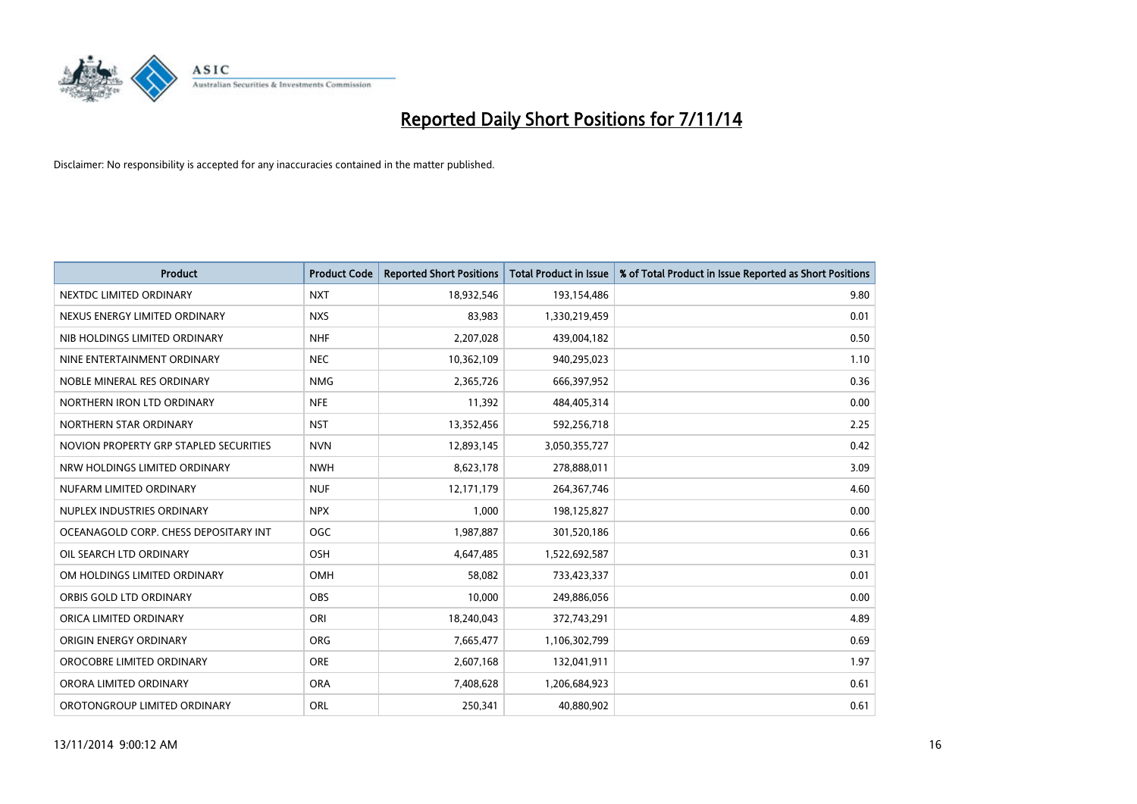

| <b>Product</b>                         | <b>Product Code</b> | <b>Reported Short Positions</b> | <b>Total Product in Issue</b> | % of Total Product in Issue Reported as Short Positions |
|----------------------------------------|---------------------|---------------------------------|-------------------------------|---------------------------------------------------------|
| NEXTDC LIMITED ORDINARY                | <b>NXT</b>          | 18,932,546                      | 193,154,486                   | 9.80                                                    |
| NEXUS ENERGY LIMITED ORDINARY          | <b>NXS</b>          | 83,983                          | 1,330,219,459                 | 0.01                                                    |
| NIB HOLDINGS LIMITED ORDINARY          | <b>NHF</b>          | 2,207,028                       | 439,004,182                   | 0.50                                                    |
| NINE ENTERTAINMENT ORDINARY            | <b>NEC</b>          | 10,362,109                      | 940,295,023                   | 1.10                                                    |
| NOBLE MINERAL RES ORDINARY             | <b>NMG</b>          | 2,365,726                       | 666,397,952                   | 0.36                                                    |
| NORTHERN IRON LTD ORDINARY             | <b>NFE</b>          | 11,392                          | 484,405,314                   | 0.00                                                    |
| NORTHERN STAR ORDINARY                 | <b>NST</b>          | 13,352,456                      | 592,256,718                   | 2.25                                                    |
| NOVION PROPERTY GRP STAPLED SECURITIES | <b>NVN</b>          | 12,893,145                      | 3,050,355,727                 | 0.42                                                    |
| NRW HOLDINGS LIMITED ORDINARY          | <b>NWH</b>          | 8,623,178                       | 278,888,011                   | 3.09                                                    |
| NUFARM LIMITED ORDINARY                | <b>NUF</b>          | 12,171,179                      | 264,367,746                   | 4.60                                                    |
| NUPLEX INDUSTRIES ORDINARY             | <b>NPX</b>          | 1,000                           | 198,125,827                   | 0.00                                                    |
| OCEANAGOLD CORP. CHESS DEPOSITARY INT  | <b>OGC</b>          | 1,987,887                       | 301,520,186                   | 0.66                                                    |
| OIL SEARCH LTD ORDINARY                | OSH                 | 4,647,485                       | 1,522,692,587                 | 0.31                                                    |
| OM HOLDINGS LIMITED ORDINARY           | OMH                 | 58,082                          | 733,423,337                   | 0.01                                                    |
| ORBIS GOLD LTD ORDINARY                | <b>OBS</b>          | 10,000                          | 249,886,056                   | 0.00                                                    |
| ORICA LIMITED ORDINARY                 | ORI                 | 18,240,043                      | 372,743,291                   | 4.89                                                    |
| ORIGIN ENERGY ORDINARY                 | <b>ORG</b>          | 7,665,477                       | 1,106,302,799                 | 0.69                                                    |
| OROCOBRE LIMITED ORDINARY              | <b>ORE</b>          | 2,607,168                       | 132,041,911                   | 1.97                                                    |
| ORORA LIMITED ORDINARY                 | <b>ORA</b>          | 7,408,628                       | 1,206,684,923                 | 0.61                                                    |
| OROTONGROUP LIMITED ORDINARY           | <b>ORL</b>          | 250,341                         | 40,880,902                    | 0.61                                                    |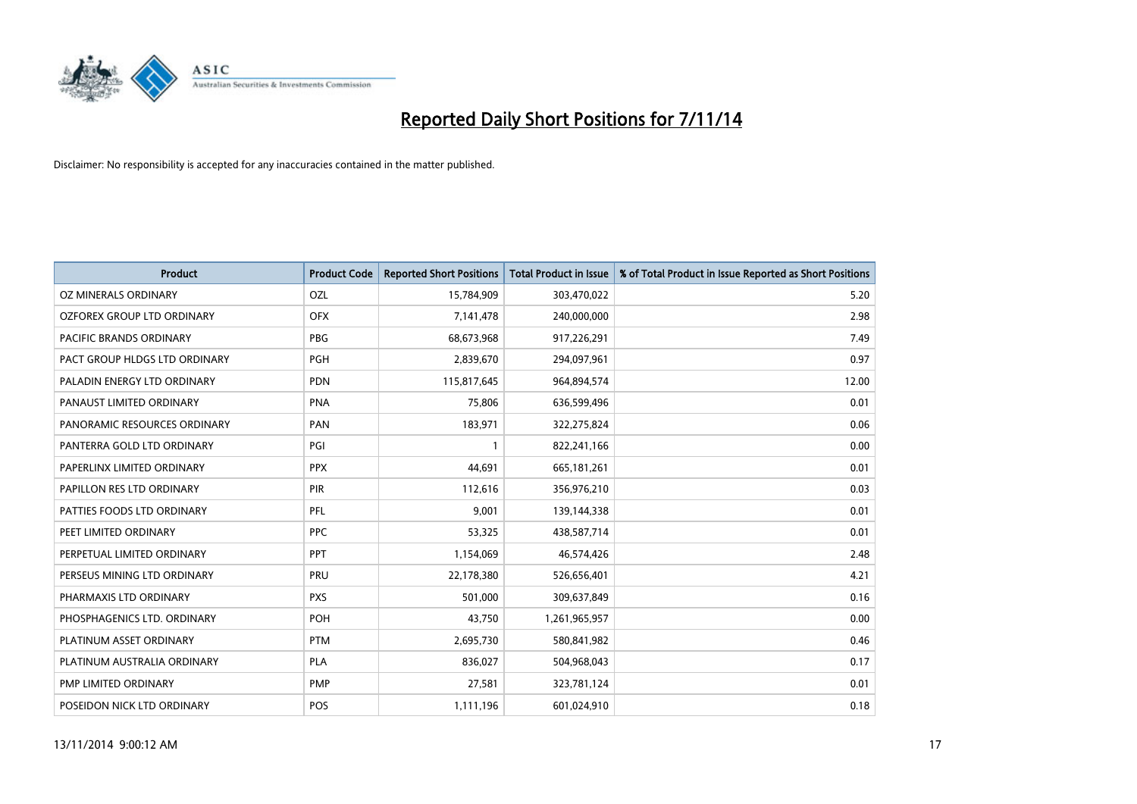

| <b>Product</b>                | <b>Product Code</b> | <b>Reported Short Positions</b> | <b>Total Product in Issue</b> | % of Total Product in Issue Reported as Short Positions |
|-------------------------------|---------------------|---------------------------------|-------------------------------|---------------------------------------------------------|
| <b>OZ MINERALS ORDINARY</b>   | <b>OZL</b>          | 15,784,909                      | 303,470,022                   | 5.20                                                    |
| OZFOREX GROUP LTD ORDINARY    | <b>OFX</b>          | 7,141,478                       | 240,000,000                   | 2.98                                                    |
| PACIFIC BRANDS ORDINARY       | <b>PBG</b>          | 68,673,968                      | 917,226,291                   | 7.49                                                    |
| PACT GROUP HLDGS LTD ORDINARY | <b>PGH</b>          | 2,839,670                       | 294,097,961                   | 0.97                                                    |
| PALADIN ENERGY LTD ORDINARY   | <b>PDN</b>          | 115,817,645                     | 964,894,574                   | 12.00                                                   |
| PANAUST LIMITED ORDINARY      | <b>PNA</b>          | 75,806                          | 636,599,496                   | 0.01                                                    |
| PANORAMIC RESOURCES ORDINARY  | PAN                 | 183,971                         | 322,275,824                   | 0.06                                                    |
| PANTERRA GOLD LTD ORDINARY    | PGI                 | $\mathbf{1}$                    | 822,241,166                   | 0.00                                                    |
| PAPERLINX LIMITED ORDINARY    | <b>PPX</b>          | 44,691                          | 665, 181, 261                 | 0.01                                                    |
| PAPILLON RES LTD ORDINARY     | <b>PIR</b>          | 112,616                         | 356,976,210                   | 0.03                                                    |
| PATTIES FOODS LTD ORDINARY    | PFL                 | 9,001                           | 139,144,338                   | 0.01                                                    |
| PEET LIMITED ORDINARY         | <b>PPC</b>          | 53,325                          | 438,587,714                   | 0.01                                                    |
| PERPETUAL LIMITED ORDINARY    | <b>PPT</b>          | 1,154,069                       | 46,574,426                    | 2.48                                                    |
| PERSEUS MINING LTD ORDINARY   | PRU                 | 22,178,380                      | 526,656,401                   | 4.21                                                    |
| PHARMAXIS LTD ORDINARY        | <b>PXS</b>          | 501,000                         | 309,637,849                   | 0.16                                                    |
| PHOSPHAGENICS LTD. ORDINARY   | POH                 | 43,750                          | 1,261,965,957                 | 0.00                                                    |
| PLATINUM ASSET ORDINARY       | <b>PTM</b>          | 2,695,730                       | 580,841,982                   | 0.46                                                    |
| PLATINUM AUSTRALIA ORDINARY   | <b>PLA</b>          | 836,027                         | 504,968,043                   | 0.17                                                    |
| PMP LIMITED ORDINARY          | <b>PMP</b>          | 27,581                          | 323,781,124                   | 0.01                                                    |
| POSEIDON NICK LTD ORDINARY    | <b>POS</b>          | 1,111,196                       | 601,024,910                   | 0.18                                                    |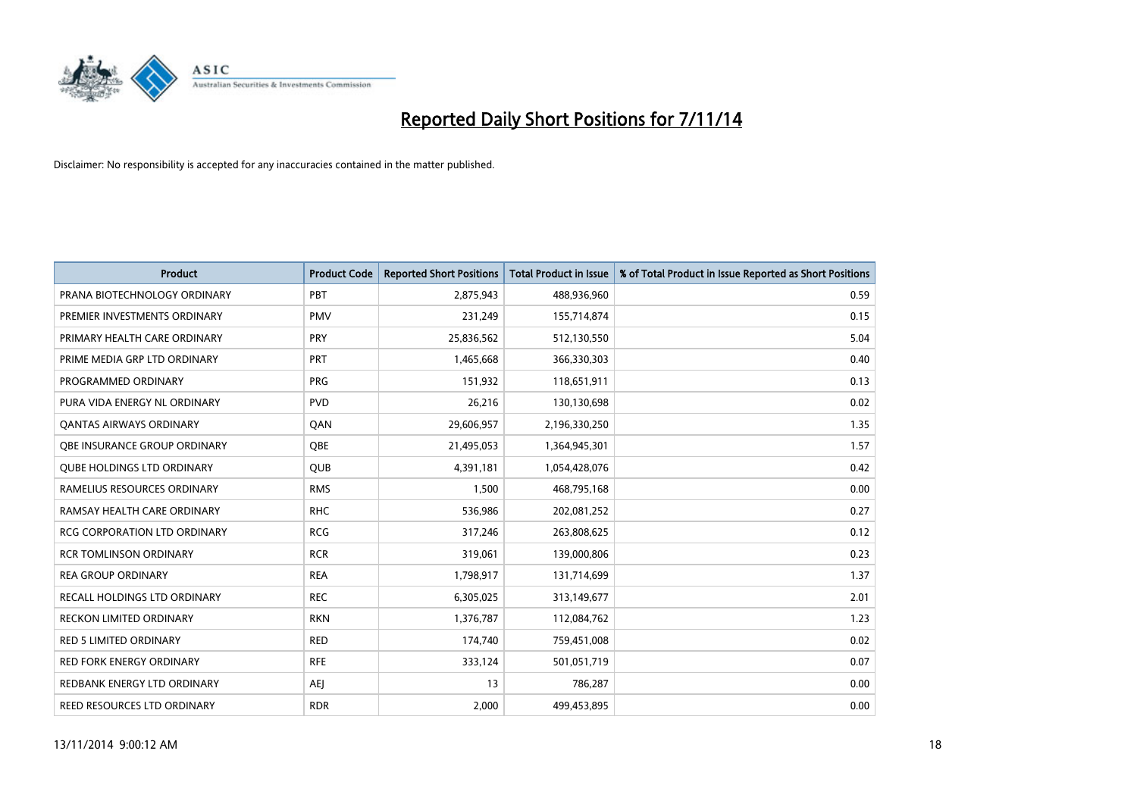

| <b>Product</b>                      | <b>Product Code</b> | <b>Reported Short Positions</b> | <b>Total Product in Issue</b> | % of Total Product in Issue Reported as Short Positions |
|-------------------------------------|---------------------|---------------------------------|-------------------------------|---------------------------------------------------------|
| PRANA BIOTECHNOLOGY ORDINARY        | PBT                 | 2,875,943                       | 488,936,960                   | 0.59                                                    |
| PREMIER INVESTMENTS ORDINARY        | <b>PMV</b>          | 231,249                         | 155,714,874                   | 0.15                                                    |
| PRIMARY HEALTH CARE ORDINARY        | <b>PRY</b>          | 25,836,562                      | 512,130,550                   | 5.04                                                    |
| PRIME MEDIA GRP LTD ORDINARY        | <b>PRT</b>          | 1,465,668                       | 366,330,303                   | 0.40                                                    |
| PROGRAMMED ORDINARY                 | <b>PRG</b>          | 151,932                         | 118,651,911                   | 0.13                                                    |
| PURA VIDA ENERGY NL ORDINARY        | <b>PVD</b>          | 26,216                          | 130,130,698                   | 0.02                                                    |
| <b>QANTAS AIRWAYS ORDINARY</b>      | QAN                 | 29,606,957                      | 2,196,330,250                 | 1.35                                                    |
| OBE INSURANCE GROUP ORDINARY        | QBE                 | 21,495,053                      | 1,364,945,301                 | 1.57                                                    |
| <b>QUBE HOLDINGS LTD ORDINARY</b>   | <b>QUB</b>          | 4,391,181                       | 1,054,428,076                 | 0.42                                                    |
| RAMELIUS RESOURCES ORDINARY         | <b>RMS</b>          | 1,500                           | 468,795,168                   | 0.00                                                    |
| RAMSAY HEALTH CARE ORDINARY         | <b>RHC</b>          | 536,986                         | 202,081,252                   | 0.27                                                    |
| <b>RCG CORPORATION LTD ORDINARY</b> | <b>RCG</b>          | 317,246                         | 263,808,625                   | 0.12                                                    |
| <b>RCR TOMLINSON ORDINARY</b>       | <b>RCR</b>          | 319,061                         | 139,000,806                   | 0.23                                                    |
| <b>REA GROUP ORDINARY</b>           | <b>REA</b>          | 1,798,917                       | 131,714,699                   | 1.37                                                    |
| RECALL HOLDINGS LTD ORDINARY        | <b>REC</b>          | 6,305,025                       | 313,149,677                   | 2.01                                                    |
| <b>RECKON LIMITED ORDINARY</b>      | <b>RKN</b>          | 1,376,787                       | 112,084,762                   | 1.23                                                    |
| <b>RED 5 LIMITED ORDINARY</b>       | <b>RED</b>          | 174,740                         | 759,451,008                   | 0.02                                                    |
| <b>RED FORK ENERGY ORDINARY</b>     | <b>RFE</b>          | 333,124                         | 501,051,719                   | 0.07                                                    |
| REDBANK ENERGY LTD ORDINARY         | <b>AEJ</b>          | 13                              | 786,287                       | 0.00                                                    |
| REED RESOURCES LTD ORDINARY         | <b>RDR</b>          | 2,000                           | 499,453,895                   | 0.00                                                    |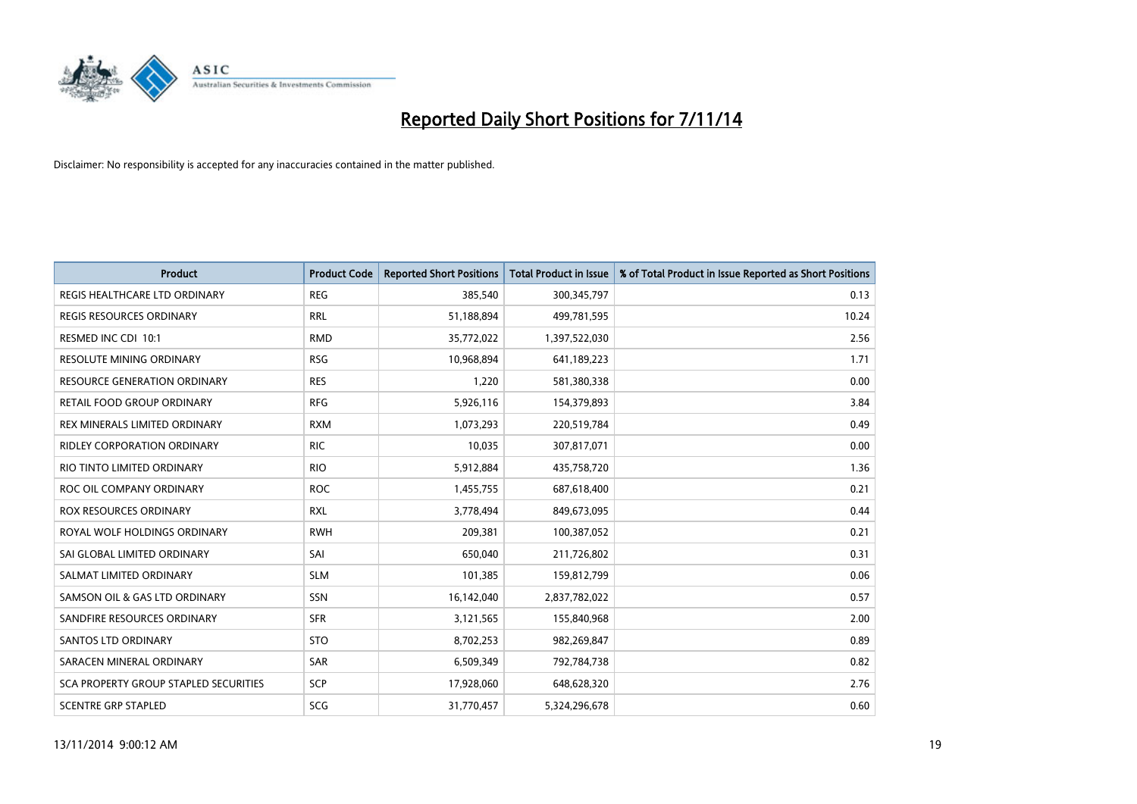

| <b>Product</b>                               | <b>Product Code</b> | <b>Reported Short Positions</b> | <b>Total Product in Issue</b> | % of Total Product in Issue Reported as Short Positions |
|----------------------------------------------|---------------------|---------------------------------|-------------------------------|---------------------------------------------------------|
| REGIS HEALTHCARE LTD ORDINARY                | <b>REG</b>          | 385,540                         | 300,345,797                   | 0.13                                                    |
| <b>REGIS RESOURCES ORDINARY</b>              | <b>RRL</b>          | 51,188,894                      | 499,781,595                   | 10.24                                                   |
| RESMED INC CDI 10:1                          | <b>RMD</b>          | 35,772,022                      | 1,397,522,030                 | 2.56                                                    |
| RESOLUTE MINING ORDINARY                     | <b>RSG</b>          | 10,968,894                      | 641,189,223                   | 1.71                                                    |
| <b>RESOURCE GENERATION ORDINARY</b>          | <b>RES</b>          | 1,220                           | 581,380,338                   | 0.00                                                    |
| <b>RETAIL FOOD GROUP ORDINARY</b>            | <b>RFG</b>          | 5,926,116                       | 154,379,893                   | 3.84                                                    |
| REX MINERALS LIMITED ORDINARY                | <b>RXM</b>          | 1,073,293                       | 220,519,784                   | 0.49                                                    |
| <b>RIDLEY CORPORATION ORDINARY</b>           | <b>RIC</b>          | 10,035                          | 307,817,071                   | 0.00                                                    |
| RIO TINTO LIMITED ORDINARY                   | <b>RIO</b>          | 5,912,884                       | 435,758,720                   | 1.36                                                    |
| ROC OIL COMPANY ORDINARY                     | <b>ROC</b>          | 1,455,755                       | 687,618,400                   | 0.21                                                    |
| ROX RESOURCES ORDINARY                       | <b>RXL</b>          | 3,778,494                       | 849,673,095                   | 0.44                                                    |
| ROYAL WOLF HOLDINGS ORDINARY                 | <b>RWH</b>          | 209,381                         | 100,387,052                   | 0.21                                                    |
| SAI GLOBAL LIMITED ORDINARY                  | SAI                 | 650,040                         | 211,726,802                   | 0.31                                                    |
| SALMAT LIMITED ORDINARY                      | <b>SLM</b>          | 101,385                         | 159,812,799                   | 0.06                                                    |
| SAMSON OIL & GAS LTD ORDINARY                | SSN                 | 16,142,040                      | 2,837,782,022                 | 0.57                                                    |
| SANDFIRE RESOURCES ORDINARY                  | <b>SFR</b>          | 3,121,565                       | 155,840,968                   | 2.00                                                    |
| <b>SANTOS LTD ORDINARY</b>                   | <b>STO</b>          | 8,702,253                       | 982,269,847                   | 0.89                                                    |
| SARACEN MINERAL ORDINARY                     | <b>SAR</b>          | 6,509,349                       | 792,784,738                   | 0.82                                                    |
| <b>SCA PROPERTY GROUP STAPLED SECURITIES</b> | SCP                 | 17,928,060                      | 648,628,320                   | 2.76                                                    |
| <b>SCENTRE GRP STAPLED</b>                   | SCG                 | 31,770,457                      | 5,324,296,678                 | 0.60                                                    |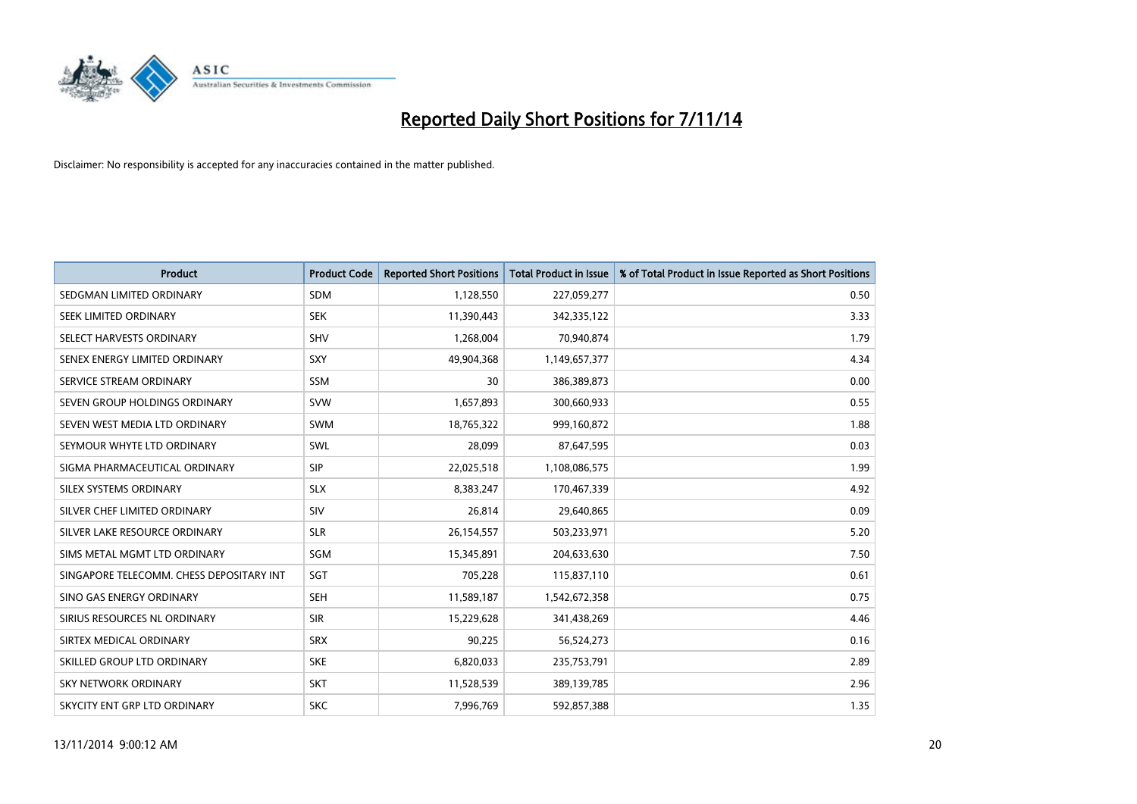

| <b>Product</b>                           | <b>Product Code</b> | <b>Reported Short Positions</b> | <b>Total Product in Issue</b> | % of Total Product in Issue Reported as Short Positions |
|------------------------------------------|---------------------|---------------------------------|-------------------------------|---------------------------------------------------------|
| SEDGMAN LIMITED ORDINARY                 | <b>SDM</b>          | 1,128,550                       | 227,059,277                   | 0.50                                                    |
| SEEK LIMITED ORDINARY                    | <b>SEK</b>          | 11,390,443                      | 342,335,122                   | 3.33                                                    |
| SELECT HARVESTS ORDINARY                 | <b>SHV</b>          | 1,268,004                       | 70,940,874                    | 1.79                                                    |
| SENEX ENERGY LIMITED ORDINARY            | <b>SXY</b>          | 49,904,368                      | 1,149,657,377                 | 4.34                                                    |
| SERVICE STREAM ORDINARY                  | <b>SSM</b>          | 30                              | 386,389,873                   | 0.00                                                    |
| SEVEN GROUP HOLDINGS ORDINARY            | <b>SVW</b>          | 1,657,893                       | 300,660,933                   | 0.55                                                    |
| SEVEN WEST MEDIA LTD ORDINARY            | SWM                 | 18,765,322                      | 999,160,872                   | 1.88                                                    |
| SEYMOUR WHYTE LTD ORDINARY               | SWL                 | 28,099                          | 87,647,595                    | 0.03                                                    |
| SIGMA PHARMACEUTICAL ORDINARY            | <b>SIP</b>          | 22,025,518                      | 1,108,086,575                 | 1.99                                                    |
| SILEX SYSTEMS ORDINARY                   | <b>SLX</b>          | 8,383,247                       | 170,467,339                   | 4.92                                                    |
| SILVER CHEF LIMITED ORDINARY             | <b>SIV</b>          | 26,814                          | 29,640,865                    | 0.09                                                    |
| SILVER LAKE RESOURCE ORDINARY            | <b>SLR</b>          | 26,154,557                      | 503,233,971                   | 5.20                                                    |
| SIMS METAL MGMT LTD ORDINARY             | SGM                 | 15,345,891                      | 204,633,630                   | 7.50                                                    |
| SINGAPORE TELECOMM. CHESS DEPOSITARY INT | SGT                 | 705,228                         | 115,837,110                   | 0.61                                                    |
| SINO GAS ENERGY ORDINARY                 | <b>SEH</b>          | 11,589,187                      | 1,542,672,358                 | 0.75                                                    |
| SIRIUS RESOURCES NL ORDINARY             | <b>SIR</b>          | 15,229,628                      | 341,438,269                   | 4.46                                                    |
| SIRTEX MEDICAL ORDINARY                  | <b>SRX</b>          | 90,225                          | 56,524,273                    | 0.16                                                    |
| SKILLED GROUP LTD ORDINARY               | <b>SKE</b>          | 6,820,033                       | 235,753,791                   | 2.89                                                    |
| <b>SKY NETWORK ORDINARY</b>              | <b>SKT</b>          | 11,528,539                      | 389,139,785                   | 2.96                                                    |
| SKYCITY ENT GRP LTD ORDINARY             | <b>SKC</b>          | 7,996,769                       | 592,857,388                   | 1.35                                                    |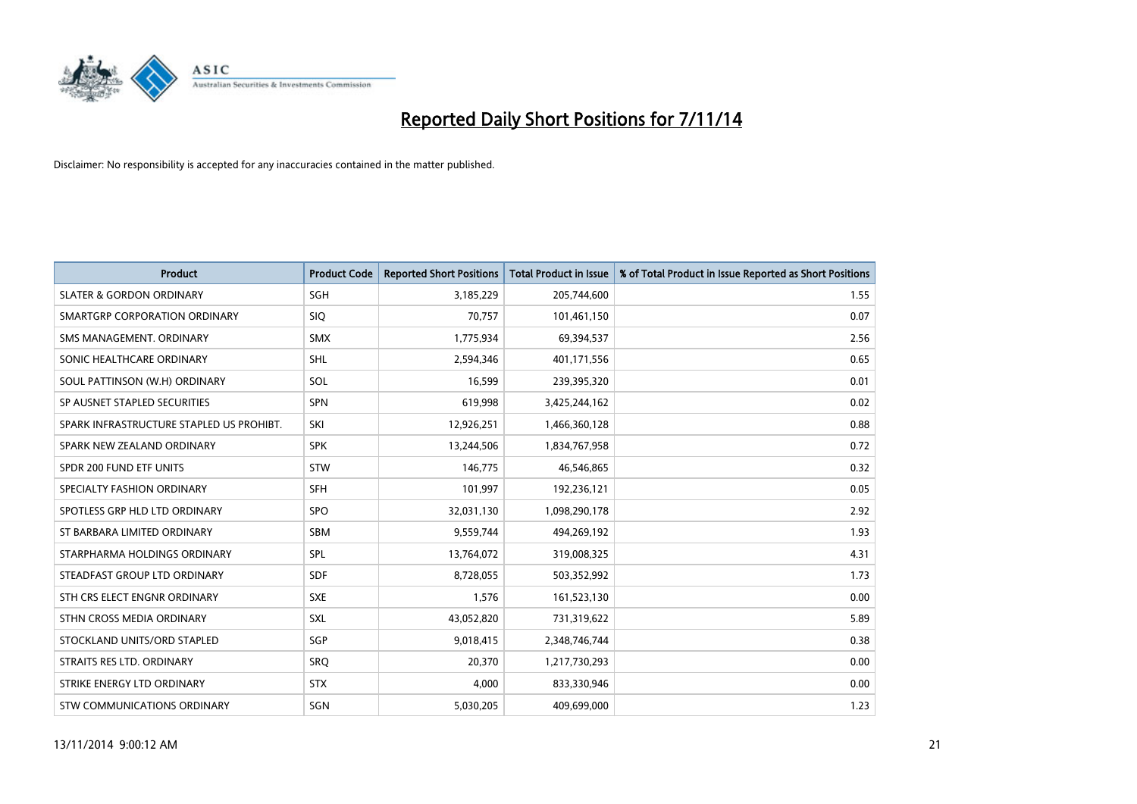

| <b>Product</b>                           | <b>Product Code</b> | <b>Reported Short Positions</b> | <b>Total Product in Issue</b> | % of Total Product in Issue Reported as Short Positions |
|------------------------------------------|---------------------|---------------------------------|-------------------------------|---------------------------------------------------------|
| <b>SLATER &amp; GORDON ORDINARY</b>      | SGH                 | 3,185,229                       | 205,744,600                   | 1.55                                                    |
| SMARTGRP CORPORATION ORDINARY            | <b>SIQ</b>          | 70,757                          | 101,461,150                   | 0.07                                                    |
| SMS MANAGEMENT, ORDINARY                 | <b>SMX</b>          | 1,775,934                       | 69,394,537                    | 2.56                                                    |
| SONIC HEALTHCARE ORDINARY                | SHL                 | 2,594,346                       | 401,171,556                   | 0.65                                                    |
| SOUL PATTINSON (W.H) ORDINARY            | SOL                 | 16,599                          | 239,395,320                   | 0.01                                                    |
| SP AUSNET STAPLED SECURITIES             | <b>SPN</b>          | 619,998                         | 3,425,244,162                 | 0.02                                                    |
| SPARK INFRASTRUCTURE STAPLED US PROHIBT. | SKI                 | 12,926,251                      | 1,466,360,128                 | 0.88                                                    |
| SPARK NEW ZEALAND ORDINARY               | <b>SPK</b>          | 13,244,506                      | 1,834,767,958                 | 0.72                                                    |
| SPDR 200 FUND ETF UNITS                  | <b>STW</b>          | 146,775                         | 46,546,865                    | 0.32                                                    |
| SPECIALTY FASHION ORDINARY               | SFH                 | 101,997                         | 192,236,121                   | 0.05                                                    |
| SPOTLESS GRP HLD LTD ORDINARY            | <b>SPO</b>          | 32,031,130                      | 1,098,290,178                 | 2.92                                                    |
| ST BARBARA LIMITED ORDINARY              | <b>SBM</b>          | 9,559,744                       | 494,269,192                   | 1.93                                                    |
| STARPHARMA HOLDINGS ORDINARY             | <b>SPL</b>          | 13,764,072                      | 319,008,325                   | 4.31                                                    |
| STEADFAST GROUP LTD ORDINARY             | SDF                 | 8,728,055                       | 503,352,992                   | 1.73                                                    |
| STH CRS ELECT ENGNR ORDINARY             | <b>SXE</b>          | 1,576                           | 161,523,130                   | 0.00                                                    |
| STHN CROSS MEDIA ORDINARY                | SXL                 | 43,052,820                      | 731,319,622                   | 5.89                                                    |
| STOCKLAND UNITS/ORD STAPLED              | SGP                 | 9,018,415                       | 2,348,746,744                 | 0.38                                                    |
| STRAITS RES LTD. ORDINARY                | SRQ                 | 20,370                          | 1,217,730,293                 | 0.00                                                    |
| STRIKE ENERGY LTD ORDINARY               | <b>STX</b>          | 4,000                           | 833,330,946                   | 0.00                                                    |
| STW COMMUNICATIONS ORDINARY              | SGN                 | 5,030,205                       | 409,699,000                   | 1.23                                                    |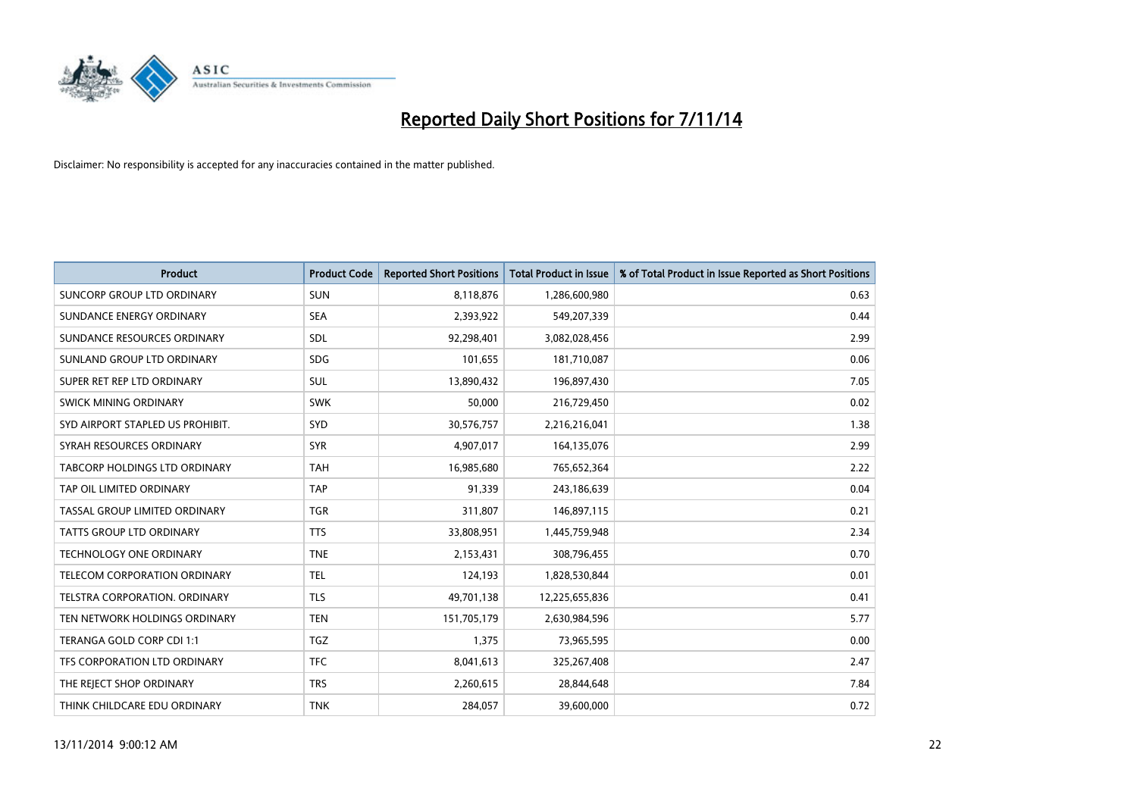

| <b>Product</b>                    | <b>Product Code</b> | <b>Reported Short Positions</b> | <b>Total Product in Issue</b> | % of Total Product in Issue Reported as Short Positions |
|-----------------------------------|---------------------|---------------------------------|-------------------------------|---------------------------------------------------------|
| <b>SUNCORP GROUP LTD ORDINARY</b> | <b>SUN</b>          | 8,118,876                       | 1,286,600,980                 | 0.63                                                    |
| SUNDANCE ENERGY ORDINARY          | <b>SEA</b>          | 2,393,922                       | 549,207,339                   | 0.44                                                    |
| SUNDANCE RESOURCES ORDINARY       | <b>SDL</b>          | 92,298,401                      | 3,082,028,456                 | 2.99                                                    |
| SUNLAND GROUP LTD ORDINARY        | <b>SDG</b>          | 101,655                         | 181,710,087                   | 0.06                                                    |
| SUPER RET REP LTD ORDINARY        | SUL                 | 13,890,432                      | 196,897,430                   | 7.05                                                    |
| SWICK MINING ORDINARY             | <b>SWK</b>          | 50,000                          | 216,729,450                   | 0.02                                                    |
| SYD AIRPORT STAPLED US PROHIBIT.  | <b>SYD</b>          | 30,576,757                      | 2,216,216,041                 | 1.38                                                    |
| SYRAH RESOURCES ORDINARY          | <b>SYR</b>          | 4,907,017                       | 164,135,076                   | 2.99                                                    |
| TABCORP HOLDINGS LTD ORDINARY     | <b>TAH</b>          | 16,985,680                      | 765,652,364                   | 2.22                                                    |
| TAP OIL LIMITED ORDINARY          | <b>TAP</b>          | 91,339                          | 243,186,639                   | 0.04                                                    |
| TASSAL GROUP LIMITED ORDINARY     | <b>TGR</b>          | 311,807                         | 146,897,115                   | 0.21                                                    |
| <b>TATTS GROUP LTD ORDINARY</b>   | <b>TTS</b>          | 33,808,951                      | 1,445,759,948                 | 2.34                                                    |
| TECHNOLOGY ONE ORDINARY           | <b>TNE</b>          | 2,153,431                       | 308,796,455                   | 0.70                                                    |
| TELECOM CORPORATION ORDINARY      | <b>TEL</b>          | 124,193                         | 1,828,530,844                 | 0.01                                                    |
| TELSTRA CORPORATION, ORDINARY     | <b>TLS</b>          | 49,701,138                      | 12,225,655,836                | 0.41                                                    |
| TEN NETWORK HOLDINGS ORDINARY     | <b>TEN</b>          | 151,705,179                     | 2,630,984,596                 | 5.77                                                    |
| TERANGA GOLD CORP CDI 1:1         | <b>TGZ</b>          | 1,375                           | 73,965,595                    | 0.00                                                    |
| TFS CORPORATION LTD ORDINARY      | <b>TFC</b>          | 8,041,613                       | 325,267,408                   | 2.47                                                    |
| THE REJECT SHOP ORDINARY          | <b>TRS</b>          | 2,260,615                       | 28,844,648                    | 7.84                                                    |
| THINK CHILDCARE EDU ORDINARY      | <b>TNK</b>          | 284,057                         | 39,600,000                    | 0.72                                                    |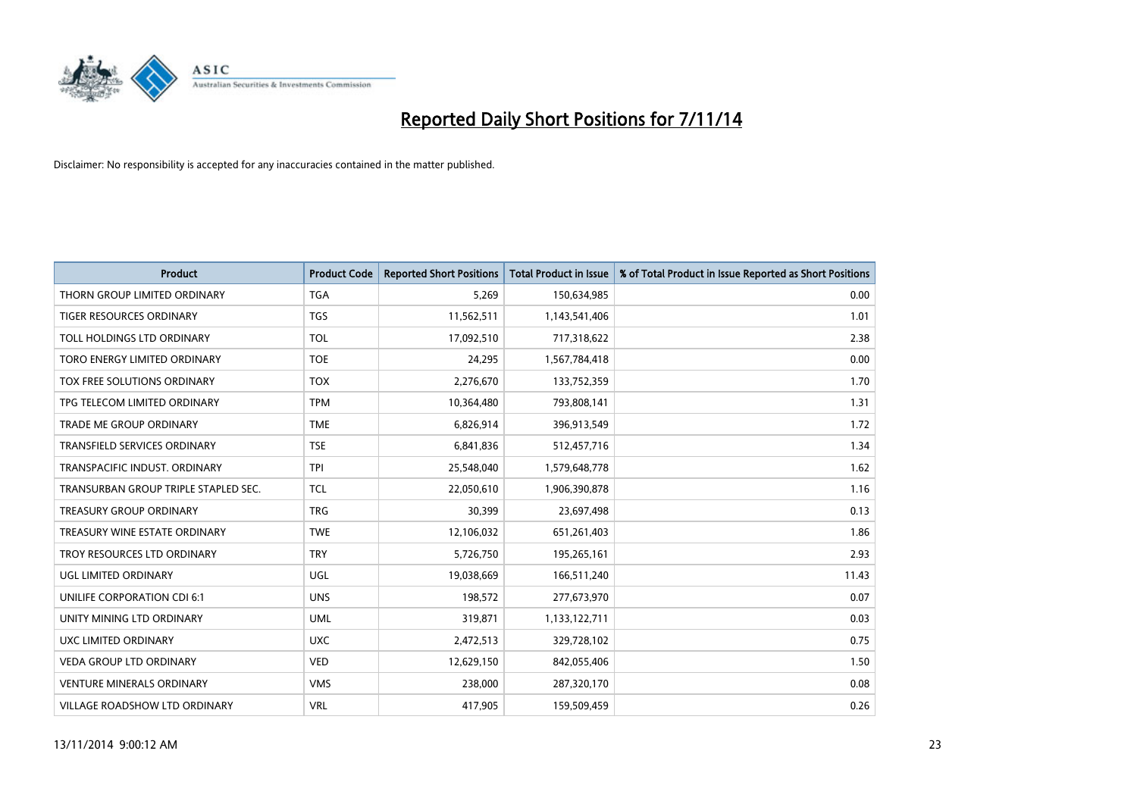

| <b>Product</b>                       | <b>Product Code</b> | <b>Reported Short Positions</b> | <b>Total Product in Issue</b> | % of Total Product in Issue Reported as Short Positions |
|--------------------------------------|---------------------|---------------------------------|-------------------------------|---------------------------------------------------------|
| THORN GROUP LIMITED ORDINARY         | <b>TGA</b>          | 5,269                           | 150,634,985                   | 0.00                                                    |
| TIGER RESOURCES ORDINARY             | <b>TGS</b>          | 11,562,511                      | 1,143,541,406                 | 1.01                                                    |
| TOLL HOLDINGS LTD ORDINARY           | <b>TOL</b>          | 17,092,510                      | 717,318,622                   | 2.38                                                    |
| TORO ENERGY LIMITED ORDINARY         | <b>TOE</b>          | 24,295                          | 1,567,784,418                 | 0.00                                                    |
| TOX FREE SOLUTIONS ORDINARY          | <b>TOX</b>          | 2,276,670                       | 133,752,359                   | 1.70                                                    |
| TPG TELECOM LIMITED ORDINARY         | <b>TPM</b>          | 10,364,480                      | 793,808,141                   | 1.31                                                    |
| TRADE ME GROUP ORDINARY              | <b>TME</b>          | 6,826,914                       | 396,913,549                   | 1.72                                                    |
| TRANSFIELD SERVICES ORDINARY         | <b>TSE</b>          | 6,841,836                       | 512,457,716                   | 1.34                                                    |
| TRANSPACIFIC INDUST, ORDINARY        | <b>TPI</b>          | 25,548,040                      | 1,579,648,778                 | 1.62                                                    |
| TRANSURBAN GROUP TRIPLE STAPLED SEC. | <b>TCL</b>          | 22,050,610                      | 1,906,390,878                 | 1.16                                                    |
| TREASURY GROUP ORDINARY              | <b>TRG</b>          | 30,399                          | 23,697,498                    | 0.13                                                    |
| TREASURY WINE ESTATE ORDINARY        | <b>TWE</b>          | 12,106,032                      | 651,261,403                   | 1.86                                                    |
| TROY RESOURCES LTD ORDINARY          | <b>TRY</b>          | 5,726,750                       | 195,265,161                   | 2.93                                                    |
| UGL LIMITED ORDINARY                 | UGL                 | 19,038,669                      | 166,511,240                   | 11.43                                                   |
| UNILIFE CORPORATION CDI 6:1          | <b>UNS</b>          | 198,572                         | 277,673,970                   | 0.07                                                    |
| UNITY MINING LTD ORDINARY            | <b>UML</b>          | 319,871                         | 1,133,122,711                 | 0.03                                                    |
| UXC LIMITED ORDINARY                 | <b>UXC</b>          | 2,472,513                       | 329,728,102                   | 0.75                                                    |
| VEDA GROUP LTD ORDINARY              | <b>VED</b>          | 12,629,150                      | 842,055,406                   | 1.50                                                    |
| <b>VENTURE MINERALS ORDINARY</b>     | <b>VMS</b>          | 238,000                         | 287,320,170                   | 0.08                                                    |
| VILLAGE ROADSHOW LTD ORDINARY        | <b>VRL</b>          | 417,905                         | 159,509,459                   | 0.26                                                    |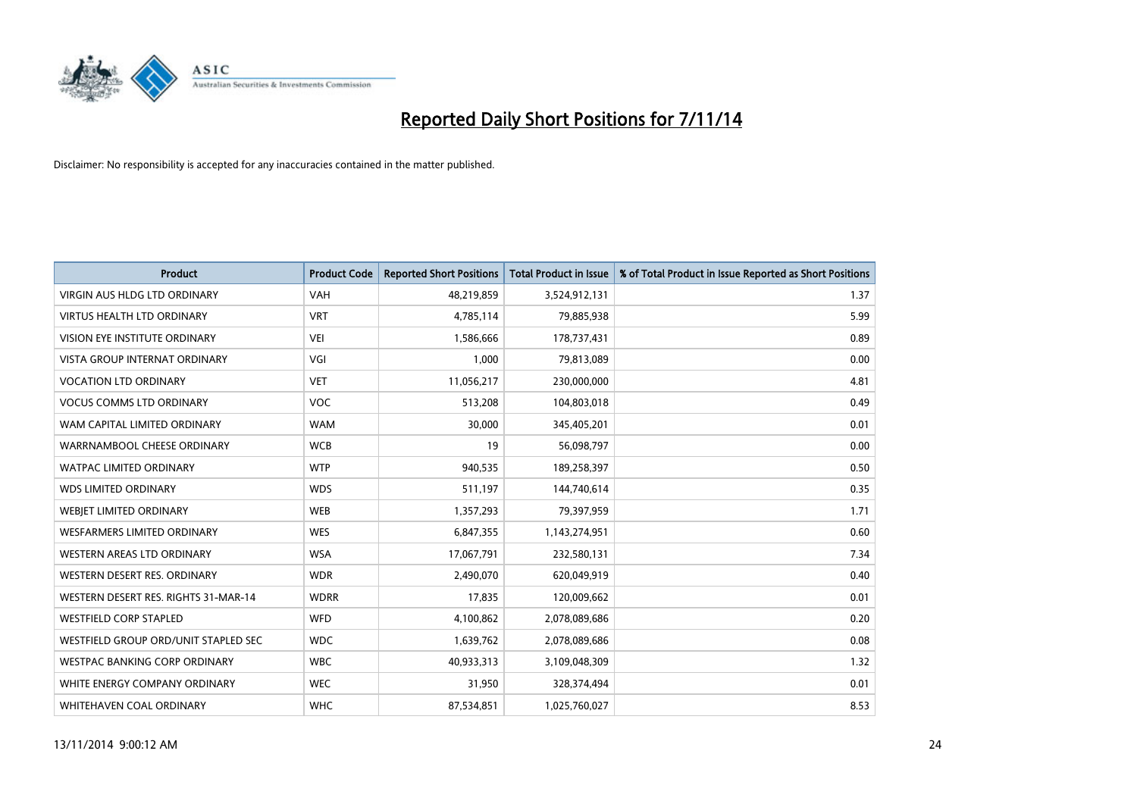

| <b>Product</b>                       | <b>Product Code</b> | <b>Reported Short Positions</b> | <b>Total Product in Issue</b> | % of Total Product in Issue Reported as Short Positions |
|--------------------------------------|---------------------|---------------------------------|-------------------------------|---------------------------------------------------------|
| <b>VIRGIN AUS HLDG LTD ORDINARY</b>  | <b>VAH</b>          | 48,219,859                      | 3,524,912,131                 | 1.37                                                    |
| <b>VIRTUS HEALTH LTD ORDINARY</b>    | <b>VRT</b>          | 4,785,114                       | 79,885,938                    | 5.99                                                    |
| <b>VISION EYE INSTITUTE ORDINARY</b> | <b>VEI</b>          | 1,586,666                       | 178,737,431                   | 0.89                                                    |
| <b>VISTA GROUP INTERNAT ORDINARY</b> | VGI                 | 1.000                           | 79,813,089                    | 0.00                                                    |
| <b>VOCATION LTD ORDINARY</b>         | <b>VET</b>          | 11,056,217                      | 230,000,000                   | 4.81                                                    |
| <b>VOCUS COMMS LTD ORDINARY</b>      | <b>VOC</b>          | 513,208                         | 104,803,018                   | 0.49                                                    |
| WAM CAPITAL LIMITED ORDINARY         | <b>WAM</b>          | 30,000                          | 345,405,201                   | 0.01                                                    |
| WARRNAMBOOL CHEESE ORDINARY          | <b>WCB</b>          | 19                              | 56,098,797                    | 0.00                                                    |
| <b>WATPAC LIMITED ORDINARY</b>       | <b>WTP</b>          | 940,535                         | 189,258,397                   | 0.50                                                    |
| <b>WDS LIMITED ORDINARY</b>          | <b>WDS</b>          | 511,197                         | 144,740,614                   | 0.35                                                    |
| WEBIET LIMITED ORDINARY              | <b>WEB</b>          | 1,357,293                       | 79,397,959                    | 1.71                                                    |
| <b>WESFARMERS LIMITED ORDINARY</b>   | <b>WES</b>          | 6,847,355                       | 1,143,274,951                 | 0.60                                                    |
| <b>WESTERN AREAS LTD ORDINARY</b>    | <b>WSA</b>          | 17,067,791                      | 232,580,131                   | 7.34                                                    |
| WESTERN DESERT RES. ORDINARY         | <b>WDR</b>          | 2,490,070                       | 620,049,919                   | 0.40                                                    |
| WESTERN DESERT RES. RIGHTS 31-MAR-14 | <b>WDRR</b>         | 17,835                          | 120,009,662                   | 0.01                                                    |
| <b>WESTFIELD CORP STAPLED</b>        | <b>WFD</b>          | 4,100,862                       | 2,078,089,686                 | 0.20                                                    |
| WESTFIELD GROUP ORD/UNIT STAPLED SEC | <b>WDC</b>          | 1,639,762                       | 2,078,089,686                 | 0.08                                                    |
| <b>WESTPAC BANKING CORP ORDINARY</b> | <b>WBC</b>          | 40,933,313                      | 3,109,048,309                 | 1.32                                                    |
| WHITE ENERGY COMPANY ORDINARY        | <b>WEC</b>          | 31,950                          | 328,374,494                   | 0.01                                                    |
| WHITEHAVEN COAL ORDINARY             | <b>WHC</b>          | 87,534,851                      | 1,025,760,027                 | 8.53                                                    |